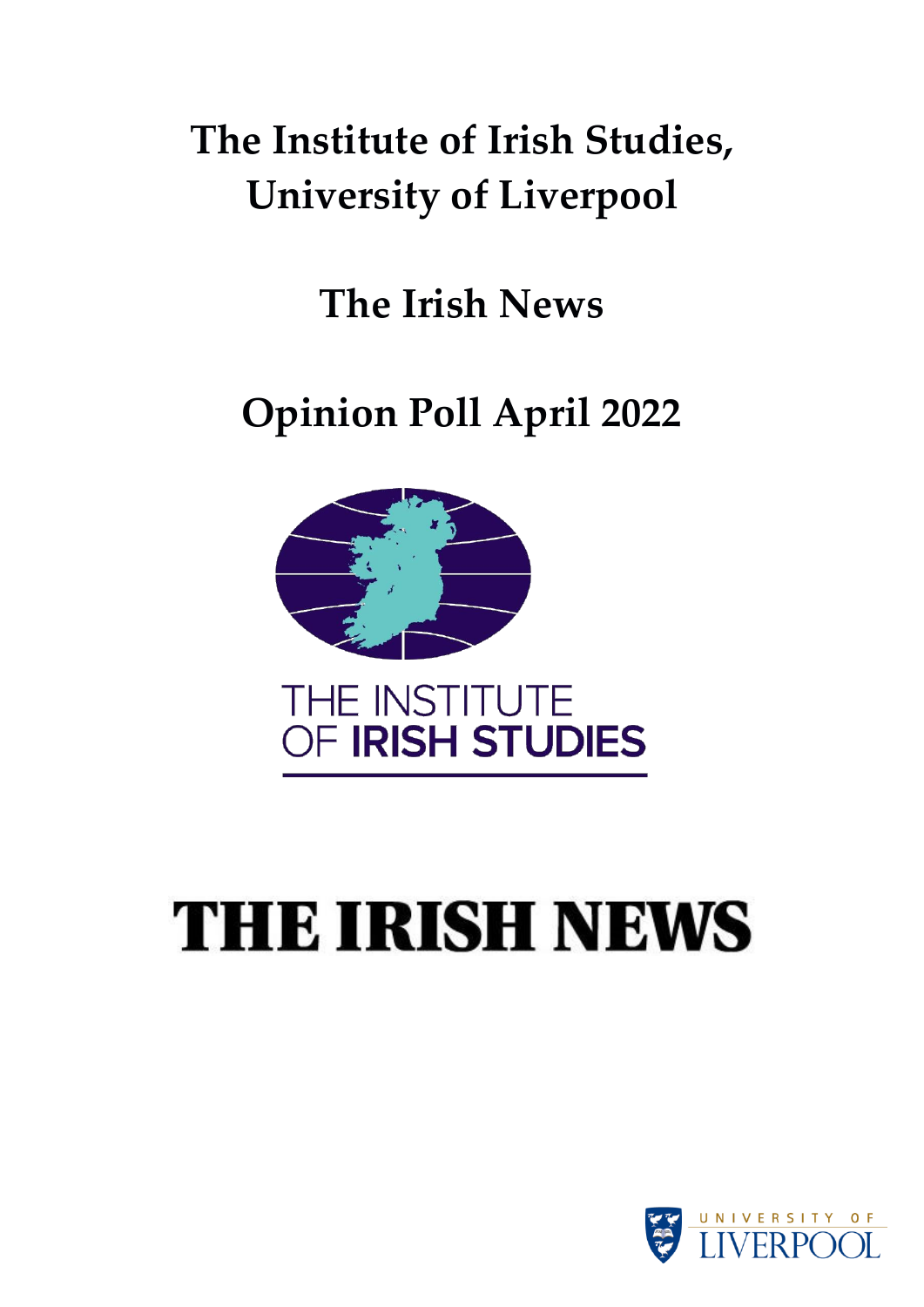### **The Institute of Irish Studies, University of Liverpool**

**The Irish News**

**Opinion Poll April 2022**



## **THE IRISH NEWS**

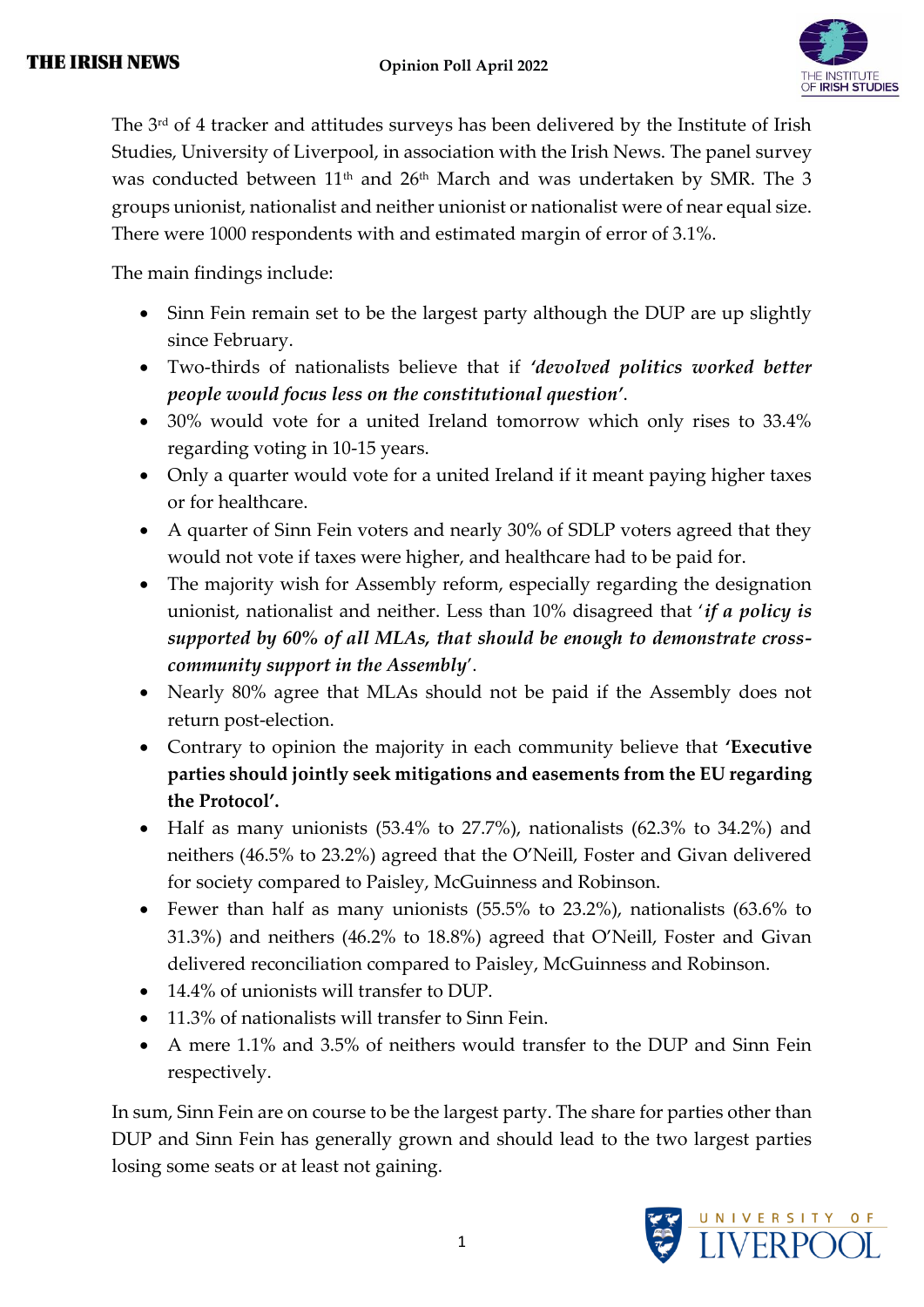

The 3rd of 4 tracker and attitudes surveys has been delivered by the Institute of Irish Studies, University of Liverpool, in association with the Irish News. The panel survey was conducted between 11<sup>th</sup> and 26<sup>th</sup> March and was undertaken by SMR. The 3 groups unionist, nationalist and neither unionist or nationalist were of near equal size. There were 1000 respondents with and estimated margin of error of 3.1%.

The main findings include:

- Sinn Fein remain set to be the largest party although the DUP are up slightly since February.
- Two-thirds of nationalists believe that if *'devolved politics worked better people would focus less on the constitutional question'*.
- 30% would vote for a united Ireland tomorrow which only rises to 33.4% regarding voting in 10-15 years.
- Only a quarter would vote for a united Ireland if it meant paying higher taxes or for healthcare.
- A quarter of Sinn Fein voters and nearly 30% of SDLP voters agreed that they would not vote if taxes were higher, and healthcare had to be paid for.
- The majority wish for Assembly reform, especially regarding the designation unionist, nationalist and neither. Less than 10% disagreed that '*if a policy is supported by 60% of all MLAs, that should be enough to demonstrate crosscommunity support in the Assembly*'.
- Nearly 80% agree that MLAs should not be paid if the Assembly does not return post-election.
- Contrary to opinion the majority in each community believe that **'Executive parties should jointly seek mitigations and easements from the EU regarding the Protocol'.**
- Half as many unionists (53.4% to 27.7%), nationalists (62.3% to 34.2%) and neithers (46.5% to 23.2%) agreed that the O'Neill, Foster and Givan delivered for society compared to Paisley, McGuinness and Robinson.
- Fewer than half as many unionists (55.5% to 23.2%), nationalists (63.6% to 31.3%) and neithers (46.2% to 18.8%) agreed that O'Neill, Foster and Givan delivered reconciliation compared to Paisley, McGuinness and Robinson.
- 14.4% of unionists will transfer to DUP.
- 11.3% of nationalists will transfer to Sinn Fein.
- A mere 1.1% and 3.5% of neithers would transfer to the DUP and Sinn Fein respectively.

In sum, Sinn Fein are on course to be the largest party. The share for parties other than DUP and Sinn Fein has generally grown and should lead to the two largest parties losing some seats or at least not gaining.

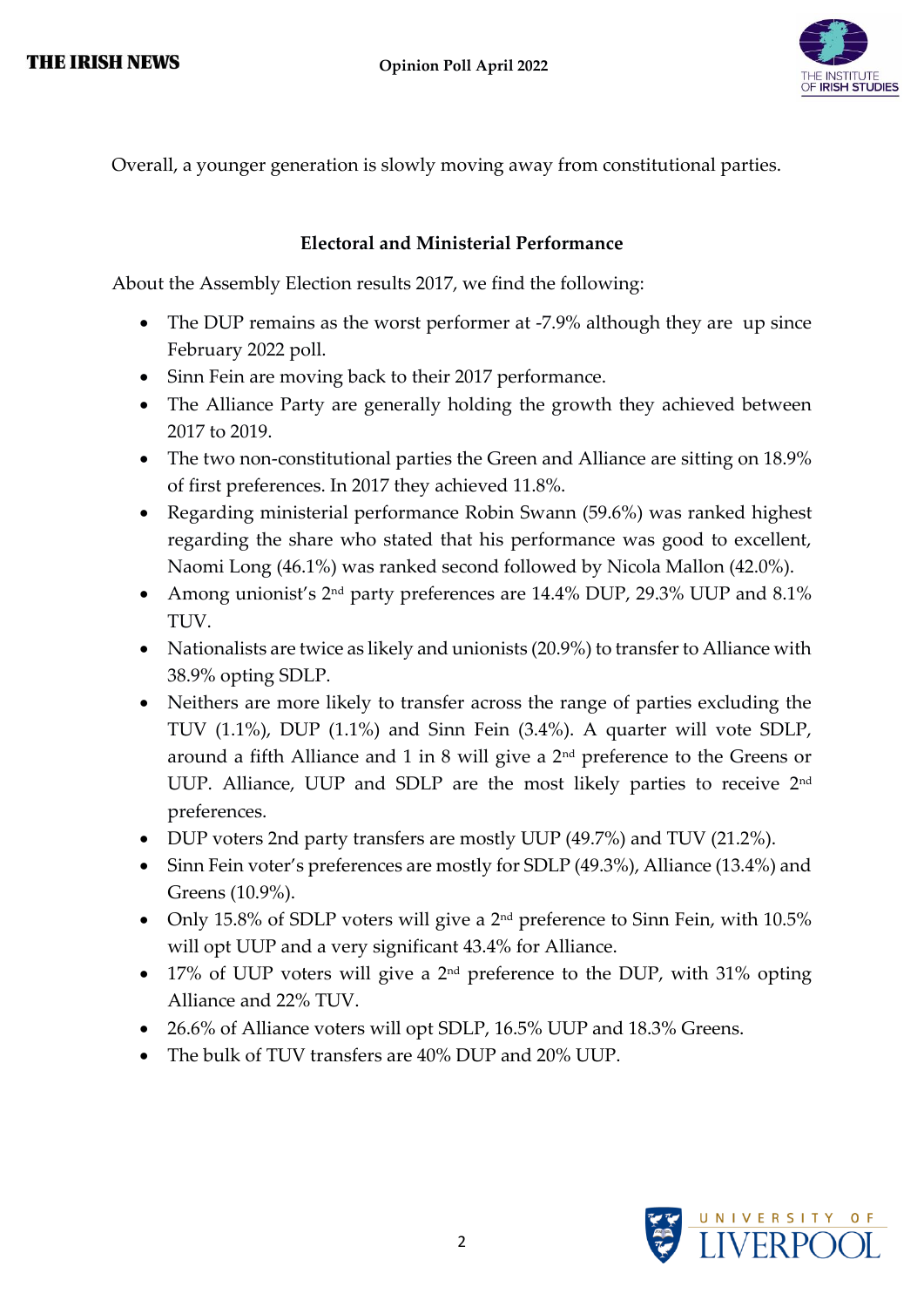

Overall, a younger generation is slowly moving away from constitutional parties.

#### **Electoral and Ministerial Performance**

About the Assembly Election results 2017, we find the following:

- The DUP remains as the worst performer at -7.9% although they are up since February 2022 poll.
- Sinn Fein are moving back to their 2017 performance.
- The Alliance Party are generally holding the growth they achieved between 2017 to 2019.
- The two non-constitutional parties the Green and Alliance are sitting on 18.9% of first preferences. In 2017 they achieved 11.8%.
- Regarding ministerial performance Robin Swann (59.6%) was ranked highest regarding the share who stated that his performance was good to excellent, Naomi Long (46.1%) was ranked second followed by Nicola Mallon (42.0%).
- Among unionist's 2<sup>nd</sup> party preferences are 14.4% DUP, 29.3% UUP and 8.1% TUV.
- Nationalists are twice as likely and unionists (20.9%) to transfer to Alliance with 38.9% opting SDLP.
- Neithers are more likely to transfer across the range of parties excluding the TUV (1.1%), DUP (1.1%) and Sinn Fein (3.4%). A quarter will vote SDLP, around a fifth Alliance and 1 in 8 will give a 2nd preference to the Greens or UUP. Alliance, UUP and SDLP are the most likely parties to receive 2<sup>nd</sup> preferences.
- DUP voters 2nd party transfers are mostly UUP (49.7%) and TUV (21.2%).
- Sinn Fein voter's preferences are mostly for SDLP (49.3%), Alliance (13.4%) and Greens (10.9%).
- Only 15.8% of SDLP voters will give a 2<sup>nd</sup> preference to Sinn Fein, with 10.5% will opt UUP and a very significant 43.4% for Alliance.
- 17% of UUP voters will give a  $2<sup>nd</sup>$  preference to the DUP, with 31% opting Alliance and 22% TUV.
- 26.6% of Alliance voters will opt SDLP, 16.5% UUP and 18.3% Greens.
- The bulk of TUV transfers are 40% DUP and 20% UUP.

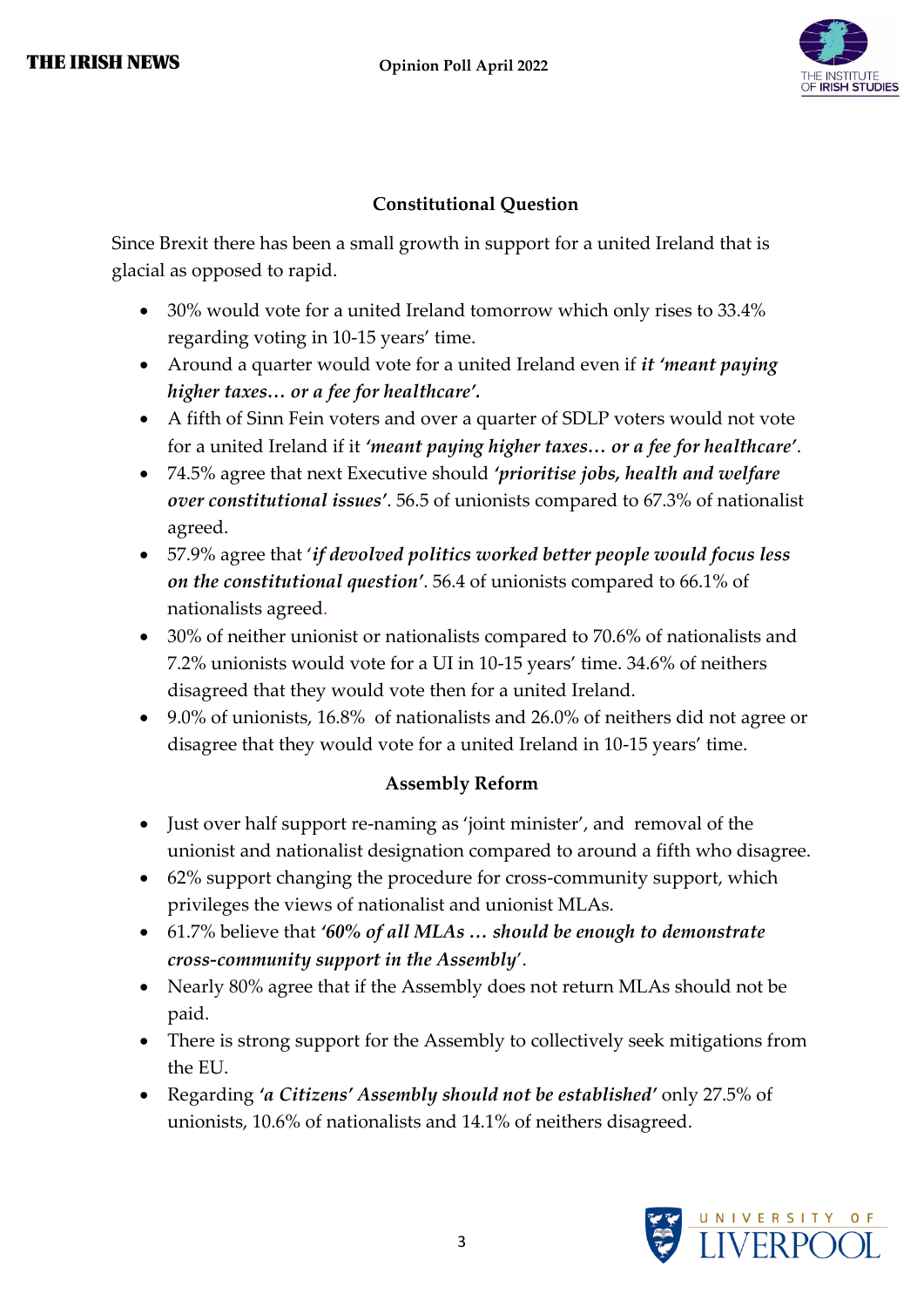

#### **Constitutional Question**

Since Brexit there has been a small growth in support for a united Ireland that is glacial as opposed to rapid.

- 30% would vote for a united Ireland tomorrow which only rises to 33.4% regarding voting in 10-15 years' time.
- Around a quarter would vote for a united Ireland even if *it 'meant paying higher taxes… or a fee for healthcare'.*
- A fifth of Sinn Fein voters and over a quarter of SDLP voters would not vote for a united Ireland if it *'meant paying higher taxes… or a fee for healthcare'*.
- 74.5% agree that next Executive should *'prioritise jobs, health and welfare over constitutional issues'*. 56.5 of unionists compared to 67.3% of nationalist agreed.
- 57.9% agree that '*if devolved politics worked better people would focus less on the constitutional question'*. 56.4 of unionists compared to 66.1% of nationalists agreed.
- 30% of neither unionist or nationalists compared to 70.6% of nationalists and 7.2% unionists would vote for a UI in 10-15 years' time. 34.6% of neithers disagreed that they would vote then for a united Ireland.
- 9.0% of unionists, 16.8% of nationalists and 26.0% of neithers did not agree or disagree that they would vote for a united Ireland in 10-15 years' time.

#### **Assembly Reform**

- Just over half support re-naming as 'joint minister', and removal of the unionist and nationalist designation compared to around a fifth who disagree.
- 62% support changing the procedure for cross-community support, which privileges the views of nationalist and unionist MLAs.
- 61.7% believe that *'60% of all MLAs … should be enough to demonstrate cross-community support in the Assembly*'.
- Nearly 80% agree that if the Assembly does not return MLAs should not be paid.
- There is strong support for the Assembly to collectively seek mitigations from the EU.
- Regarding *'a Citizens' Assembly should not be established'* only 27.5% of unionists, 10.6% of nationalists and 14.1% of neithers disagreed.

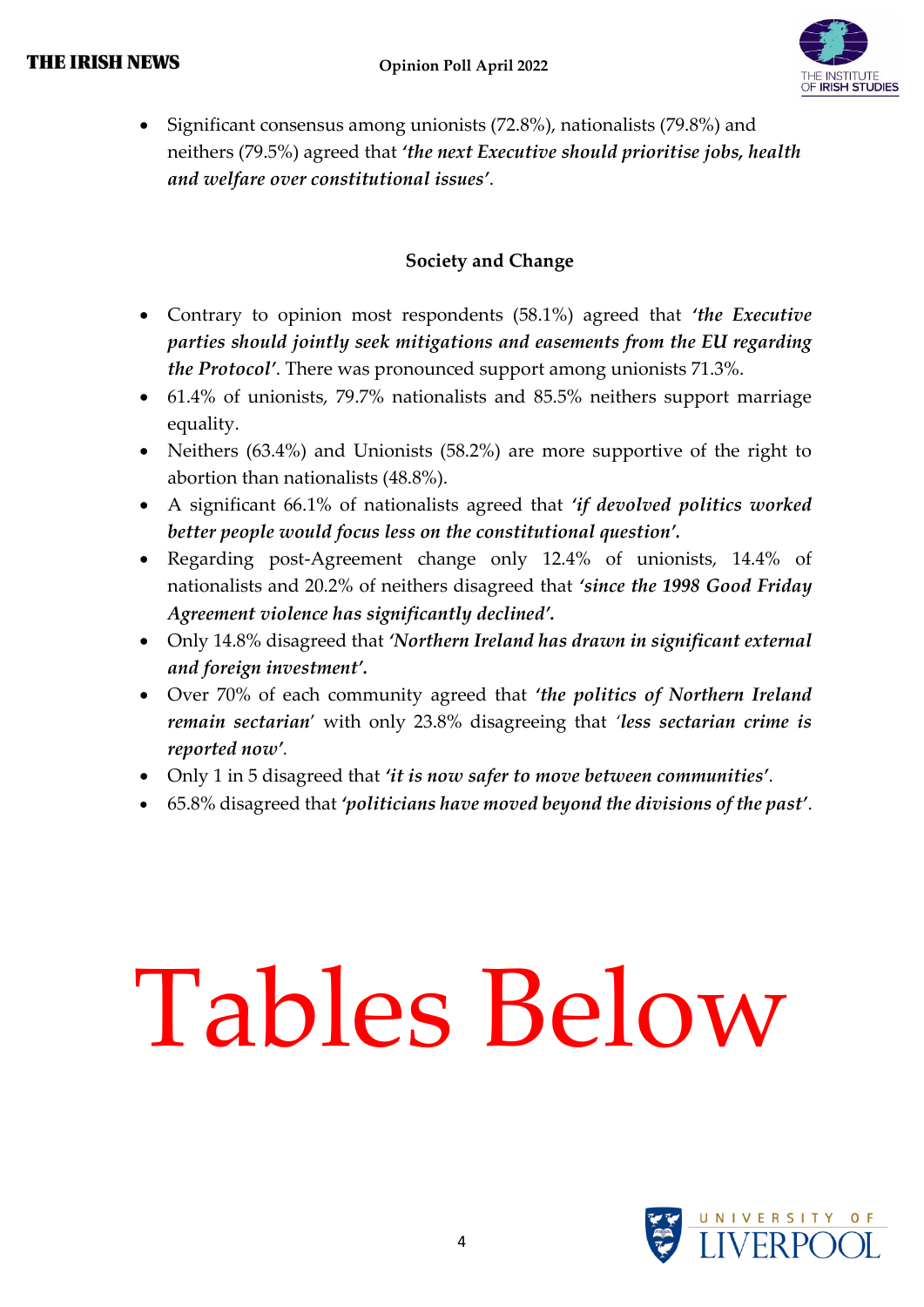

• Significant consensus among unionists (72.8%), nationalists (79.8%) and neithers (79.5%) agreed that *'the next Executive should prioritise jobs, health and welfare over constitutional issues'*.

#### **Society and Change**

- Contrary to opinion most respondents (58.1%) agreed that *'the Executive parties should jointly seek mitigations and easements from the EU regarding the Protocol'*. There was pronounced support among unionists 71.3%.
- 61.4% of unionists, 79.7% nationalists and 85.5% neithers support marriage equality.
- Neithers (63.4%) and Unionists (58.2%) are more supportive of the right to abortion than nationalists (48.8%).
- A significant 66.1% of nationalists agreed that *'if devolved politics worked better people would focus less on the constitutional question'.*
- Regarding post-Agreement change only 12.4% of unionists, 14.4% of nationalists and 20.2% of neithers disagreed that *'since the 1998 Good Friday Agreement violence has significantly declined'.*
- Only 14.8% disagreed that *'Northern Ireland has drawn in significant external and foreign investment'.*
- Over 70% of each community agreed that *'the politics of Northern Ireland remain sectarian*' with only 23.8% disagreeing that *'less sectarian crime is reported now'.*
- Only 1 in 5 disagreed that *'it is now safer to move between communities'*.
- 65.8% disagreed that *'politicians have moved beyond the divisions of the past'*.

# Tables Below

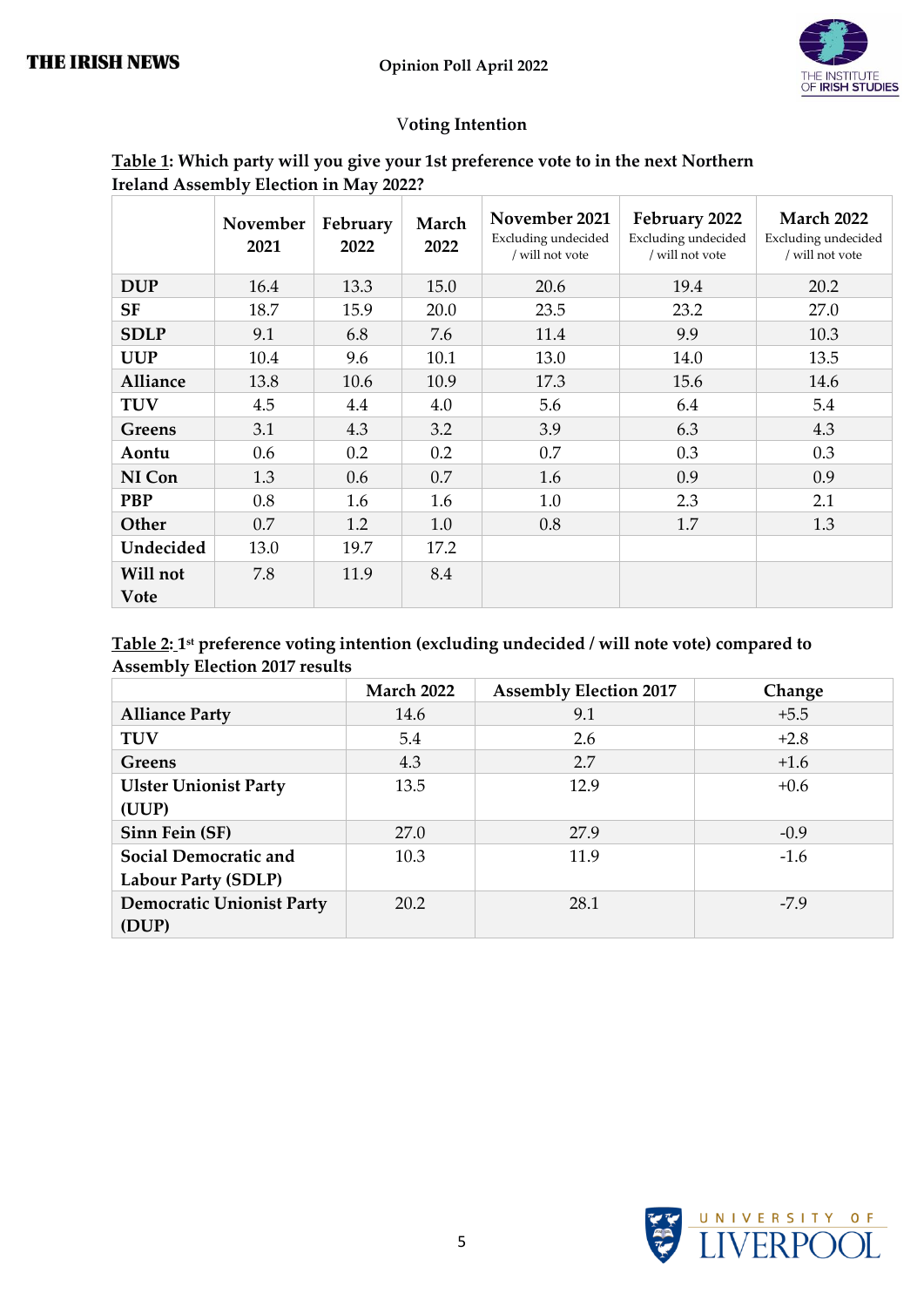

#### V**oting Intention**

| <u>Table 1</u> : Which party will you give your 1st preference vote to in the next Northern |  |
|---------------------------------------------------------------------------------------------|--|
| Ireland Assembly Election in May 2022?                                                      |  |

|                         | November<br>2021 | February<br>2022 | March<br>2022 | November 2021<br>Excluding undecided<br>/ will not vote | February 2022<br>Excluding undecided<br>/ will not vote | <b>March 2022</b><br>Excluding undecided<br>$\prime$ will not vote |
|-------------------------|------------------|------------------|---------------|---------------------------------------------------------|---------------------------------------------------------|--------------------------------------------------------------------|
| <b>DUP</b>              | 16.4             | 13.3             | 15.0          | 20.6                                                    | 19.4                                                    | 20.2                                                               |
| <b>SF</b>               | 18.7             | 15.9             | 20.0          | 23.5                                                    | 23.2                                                    | 27.0                                                               |
| <b>SDLP</b>             | 9.1              | 6.8              | 7.6           | 11.4                                                    | 9.9                                                     | 10.3                                                               |
| <b>UUP</b>              | 10.4             | 9.6              | 10.1          | 13.0                                                    | 14.0                                                    | 13.5                                                               |
| Alliance                | 13.8             | 10.6             | 10.9          | 17.3                                                    | 15.6                                                    | 14.6                                                               |
| <b>TUV</b>              | 4.5              | 4.4              | 4.0           | 5.6                                                     | 6.4                                                     | 5.4                                                                |
| Greens                  | 3.1              | 4.3              | 3.2           | 3.9                                                     | 6.3                                                     | 4.3                                                                |
| Aontu                   | 0.6              | 0.2              | 0.2           | 0.7                                                     | 0.3                                                     | 0.3                                                                |
| NI Con                  | 1.3              | 0.6              | 0.7           | 1.6                                                     | 0.9                                                     | 0.9                                                                |
| <b>PBP</b>              | 0.8              | 1.6              | 1.6           | 1.0                                                     | 2.3                                                     | 2.1                                                                |
| Other                   | 0.7              | 1.2              | 1.0           | 0.8                                                     | 1.7                                                     | 1.3                                                                |
| Undecided               | 13.0             | 19.7             | 17.2          |                                                         |                                                         |                                                                    |
| Will not<br><b>Vote</b> | 7.8              | 11.9             | 8.4           |                                                         |                                                         |                                                                    |

#### **Table 2: 1 st preference voting intention (excluding undecided / will note vote) compared to Assembly Election 2017 results**

|                                  | <b>March 2022</b> | <b>Assembly Election 2017</b> | Change |
|----------------------------------|-------------------|-------------------------------|--------|
| <b>Alliance Party</b>            | 14.6              | 9.1                           | $+5.5$ |
| <b>TUV</b>                       | 5.4               | 2.6                           | $+2.8$ |
| Greens                           | 4.3               | 2.7                           | $+1.6$ |
| <b>Ulster Unionist Party</b>     | 13.5              | 12.9                          | $+0.6$ |
| (UUP)                            |                   |                               |        |
| Sinn Fein (SF)                   | 27.0              | 27.9                          | $-0.9$ |
| Social Democratic and            | 10.3              | 11.9                          | $-1.6$ |
| <b>Labour Party (SDLP)</b>       |                   |                               |        |
| <b>Democratic Unionist Party</b> | 20.2              | 28.1                          | $-7.9$ |
| (DUP)                            |                   |                               |        |

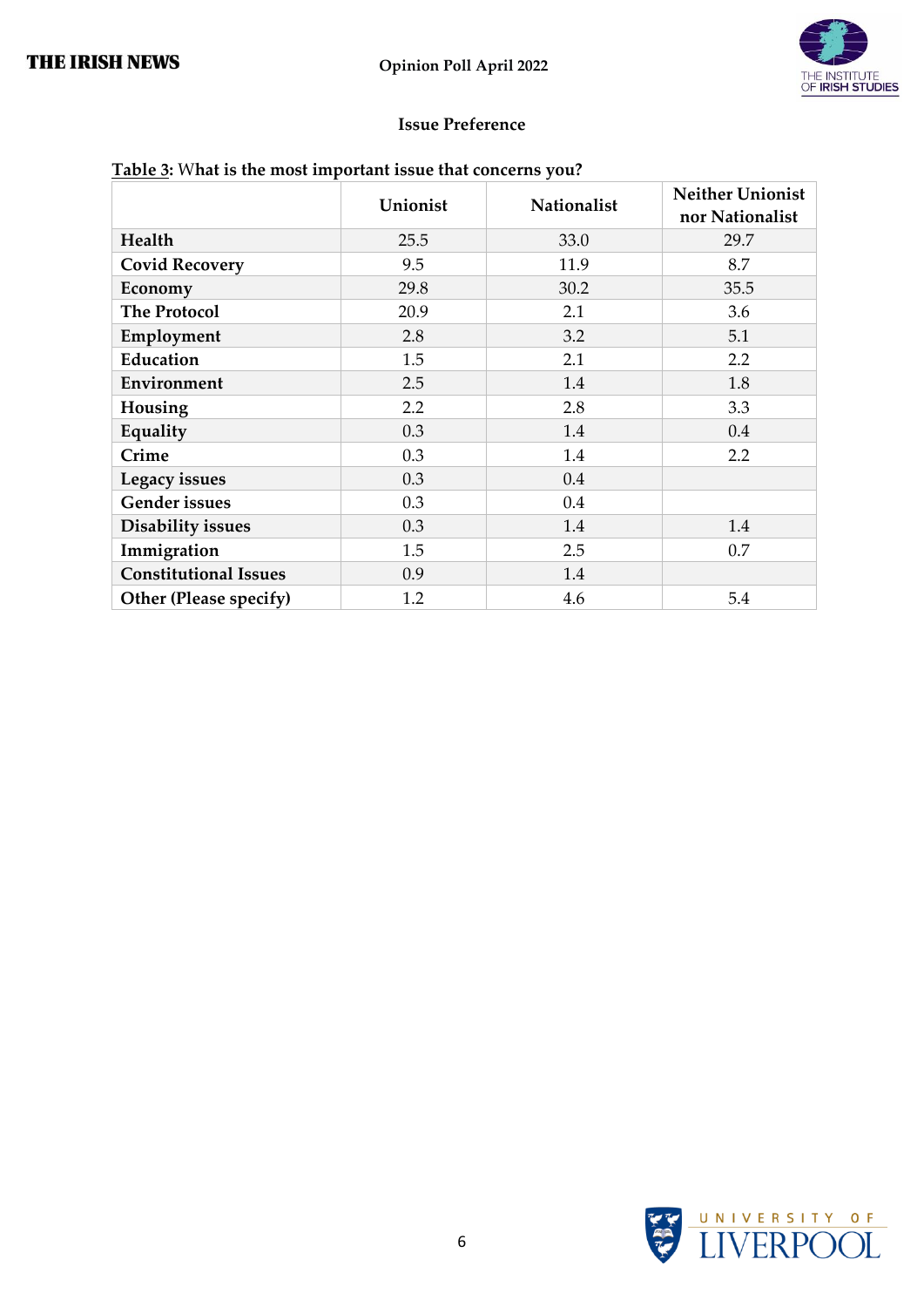

#### **Issue Preference**

| Table 3: What is the most important issue that concerns you? |  |
|--------------------------------------------------------------|--|
|--------------------------------------------------------------|--|

|                              | Unionist | Nationalist | <b>Neither Unionist</b> |
|------------------------------|----------|-------------|-------------------------|
|                              |          |             | nor Nationalist         |
| Health                       | 25.5     | 33.0        | 29.7                    |
| <b>Covid Recovery</b>        | 9.5      | 11.9        | 8.7                     |
| Economy                      | 29.8     | 30.2        | 35.5                    |
| <b>The Protocol</b>          | 20.9     | 2.1         | 3.6                     |
| Employment                   | 2.8      | 3.2         | 5.1                     |
| <b>Education</b>             | 1.5      | 2.1         | 2.2                     |
| Environment                  | 2.5      | 1.4         | 1.8                     |
| Housing                      | 2.2      | 2.8         | 3.3                     |
| Equality                     | 0.3      | 1.4         | 0.4                     |
| Crime                        | 0.3      | 1.4         | 2.2                     |
| Legacy issues                | 0.3      | 0.4         |                         |
| <b>Gender</b> issues         | 0.3      | 0.4         |                         |
| <b>Disability issues</b>     | 0.3      | 1.4         | 1.4                     |
| Immigration                  | 1.5      | 2.5         | 0.7                     |
| <b>Constitutional Issues</b> | 0.9      | 1.4         |                         |
| Other (Please specify)       | 1.2      | 4.6         | 5.4                     |

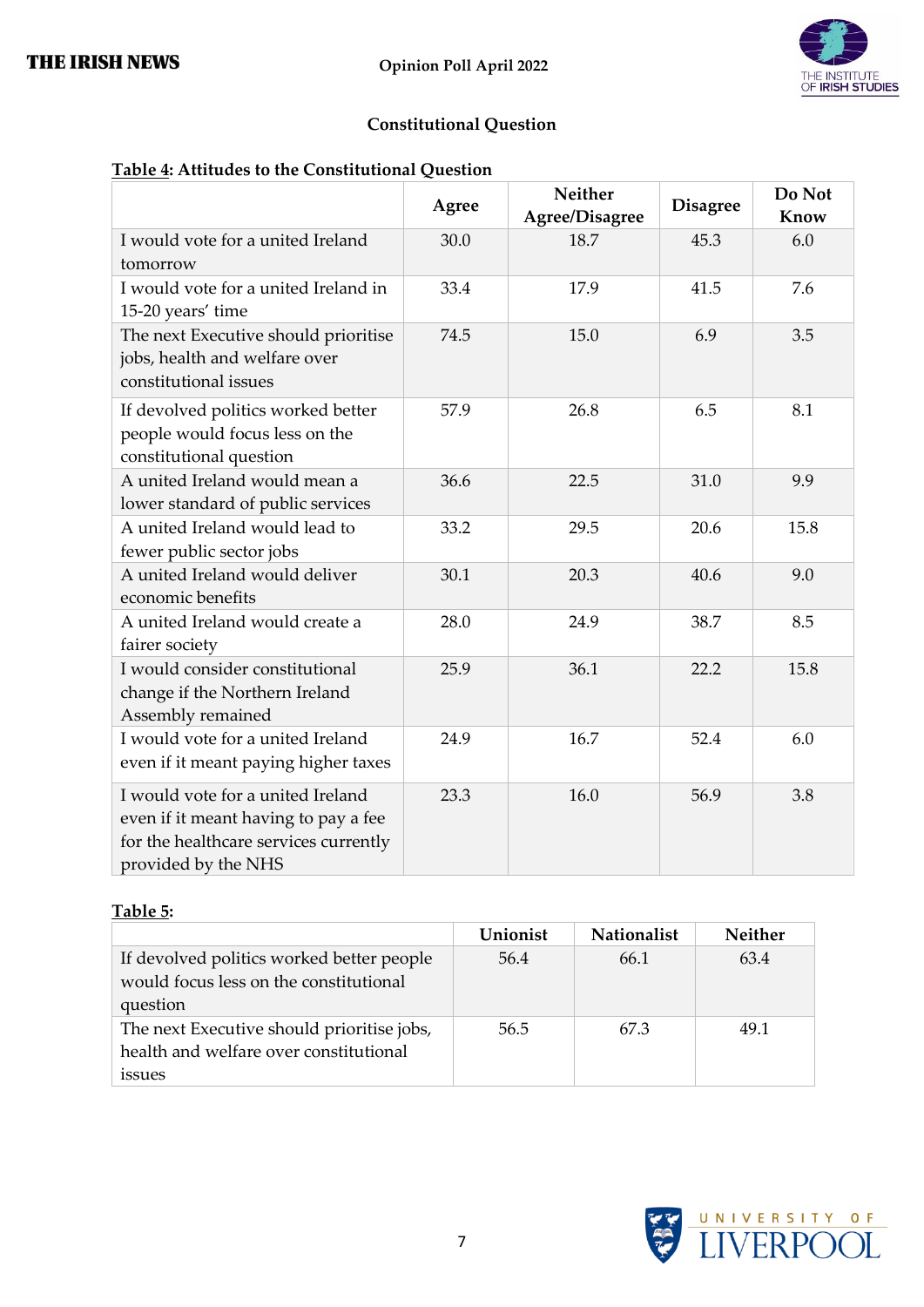

#### **Constitutional Question**

#### **Table 4: Attitudes to the Constitutional Question**

|                                                                                                                                           | Agree | <b>Neither</b><br>Agree/Disagree | <b>Disagree</b> | Do Not<br>Know |
|-------------------------------------------------------------------------------------------------------------------------------------------|-------|----------------------------------|-----------------|----------------|
| I would vote for a united Ireland<br>tomorrow                                                                                             | 30.0  | 18.7                             | 45.3            | 6.0            |
| I would vote for a united Ireland in<br>15-20 years' time                                                                                 | 33.4  | 17.9                             | 41.5            | 7.6            |
| The next Executive should prioritise<br>jobs, health and welfare over<br>constitutional issues                                            | 74.5  | 15.0                             | 6.9             | 3.5            |
| If devolved politics worked better<br>people would focus less on the<br>constitutional question                                           | 57.9  | 26.8                             | 6.5             | 8.1            |
| A united Ireland would mean a<br>lower standard of public services                                                                        | 36.6  | 22.5                             | 31.0            | 9.9            |
| A united Ireland would lead to<br>fewer public sector jobs                                                                                | 33.2  | 29.5                             | 20.6            | 15.8           |
| A united Ireland would deliver<br>economic benefits                                                                                       | 30.1  | 20.3                             | 40.6            | 9.0            |
| A united Ireland would create a<br>fairer society                                                                                         | 28.0  | 24.9                             | 38.7            | 8.5            |
| I would consider constitutional<br>change if the Northern Ireland<br>Assembly remained                                                    | 25.9  | 36.1                             | 22.2            | 15.8           |
| I would vote for a united Ireland<br>even if it meant paying higher taxes                                                                 | 24.9  | 16.7                             | 52.4            | 6.0            |
| I would vote for a united Ireland<br>even if it meant having to pay a fee<br>for the healthcare services currently<br>provided by the NHS | 23.3  | 16.0                             | 56.9            | 3.8            |

#### **Table 5:**

|                                            | Unionist | <b>Nationalist</b> | Neither |
|--------------------------------------------|----------|--------------------|---------|
| If devolved politics worked better people  | 56.4     | 66.1               | 63.4    |
| would focus less on the constitutional     |          |                    |         |
| question                                   |          |                    |         |
| The next Executive should prioritise jobs, | 56.5     | 67.3               | 49.1    |
| health and welfare over constitutional     |          |                    |         |
| issues                                     |          |                    |         |

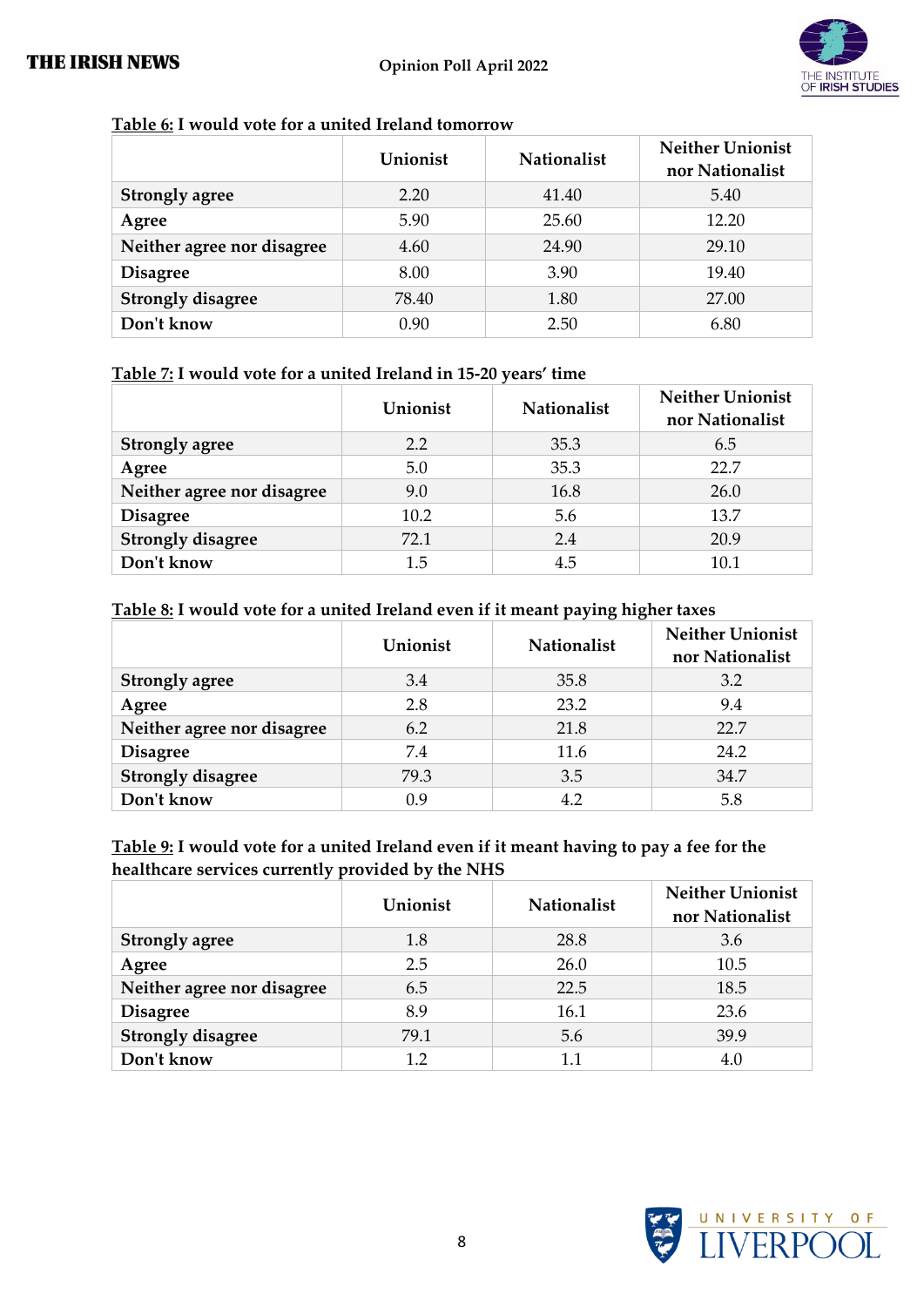

#### **Table 6: I would vote for a united Ireland tomorrow**

|                            | Unionist | <b>Nationalist</b> | <b>Neither Unionist</b><br>nor Nationalist |
|----------------------------|----------|--------------------|--------------------------------------------|
| <b>Strongly agree</b>      | 2.20     | 41.40              | 5.40                                       |
| Agree                      | 5.90     | 25.60              | 12.20                                      |
| Neither agree nor disagree | 4.60     | 24.90              | 29.10                                      |
| <b>Disagree</b>            | 8.00     | 3.90               | 19.40                                      |
| <b>Strongly disagree</b>   | 78.40    | 1.80               | 27.00                                      |
| Don't know                 | 0.90     | 2.50               | 6.80                                       |

#### **Table 7: I would vote for a united Ireland in 15-20 years' time**

|                            | Unionist | <b>Nationalist</b> | <b>Neither Unionist</b><br>nor Nationalist |
|----------------------------|----------|--------------------|--------------------------------------------|
| <b>Strongly agree</b>      | 2.2      | 35.3               | 6.5                                        |
| Agree                      | 5.0      | 35.3               | 22.7                                       |
| Neither agree nor disagree | 9.0      | 16.8               | 26.0                                       |
| <b>Disagree</b>            | 10.2     | 5.6                | 13.7                                       |
| <b>Strongly disagree</b>   | 72.1     | 2.4                | 20.9                                       |
| Don't know                 | 1.5      | 4.5                | 10.1                                       |

#### **Table 8: I would vote for a united Ireland even if it meant paying higher taxes**

|                            | Unionist | <b>Nationalist</b> | <b>Neither Unionist</b><br>nor Nationalist |
|----------------------------|----------|--------------------|--------------------------------------------|
| <b>Strongly agree</b>      | 3.4      | 35.8               | 3.2                                        |
| Agree                      | 2.8      | 23.2               | 9.4                                        |
| Neither agree nor disagree | 6.2      | 21.8               | 22.7                                       |
| <b>Disagree</b>            | 7.4      | 11.6               | 24.2                                       |
| <b>Strongly disagree</b>   | 79.3     | 3.5                | 34.7                                       |
| Don't know                 | 0.9      | 4.2                | 5.8                                        |

#### **Table 9: I would vote for a united Ireland even if it meant having to pay a fee for the healthcare services currently provided by the NHS**

|                            | Unionist | <b>Nationalist</b> | <b>Neither Unionist</b><br>nor Nationalist |
|----------------------------|----------|--------------------|--------------------------------------------|
| <b>Strongly agree</b>      | 1.8      | 28.8               | 3.6                                        |
| Agree                      | 2.5      | 26.0               | 10.5                                       |
| Neither agree nor disagree | 6.5      | 22.5               | 18.5                                       |
| <b>Disagree</b>            | 8.9      | 16.1               | 23.6                                       |
| <b>Strongly disagree</b>   | 79.1     | 5.6                | 39.9                                       |
| Don't know                 | 1.2      |                    | 4.0                                        |

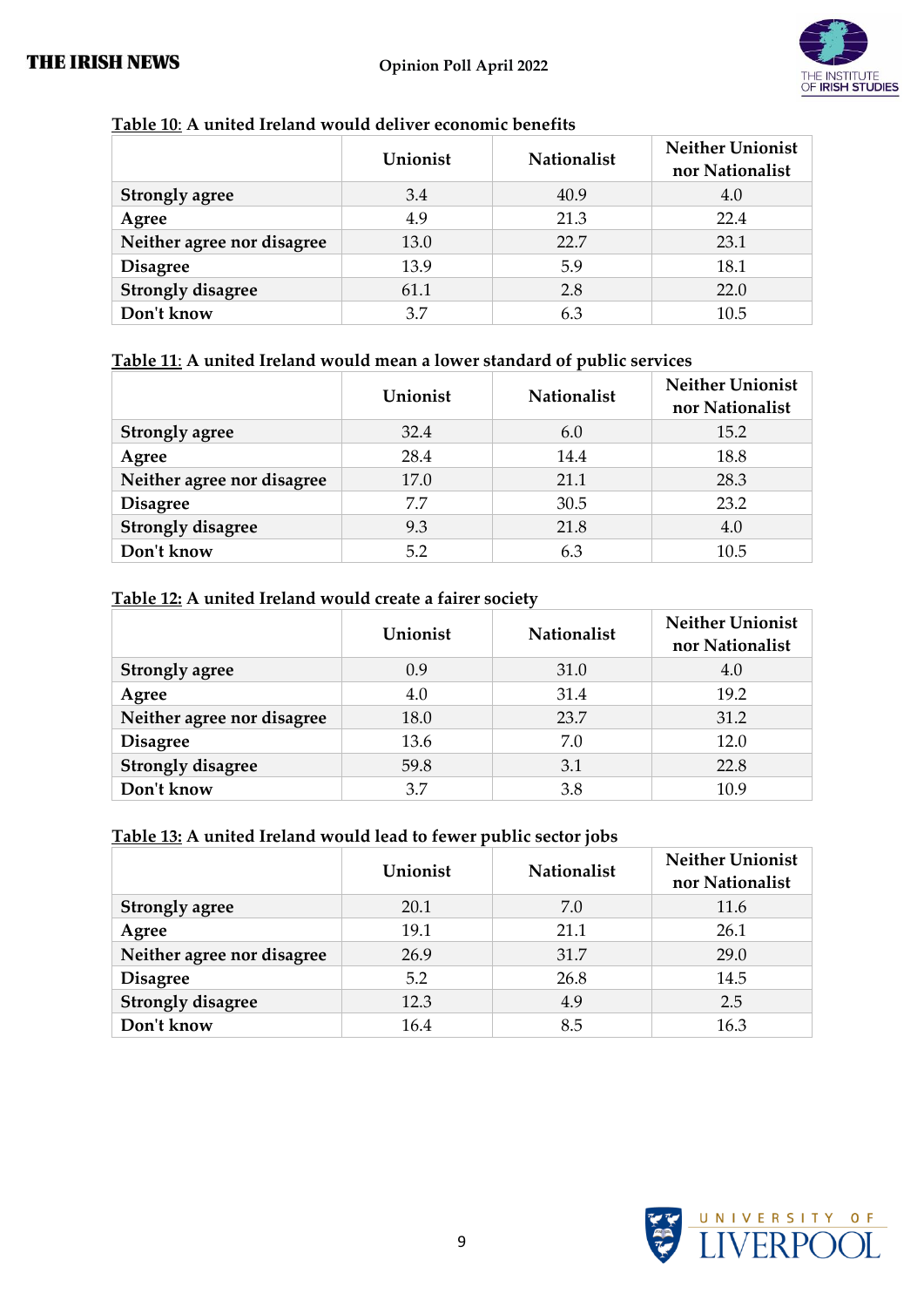

#### **Table 10**: **A united Ireland would deliver economic benefits**

|                            | Unionist | <b>Nationalist</b> | <b>Neither Unionist</b><br>nor Nationalist |
|----------------------------|----------|--------------------|--------------------------------------------|
| <b>Strongly agree</b>      | 3.4      | 40.9               | 4.0                                        |
| Agree                      | 4.9      | 21.3               | 22.4                                       |
| Neither agree nor disagree | 13.0     | 22.7               | 23.1                                       |
| <b>Disagree</b>            | 13.9     | 5.9                | 18.1                                       |
| <b>Strongly disagree</b>   | 61.1     | 2.8                | 22.0                                       |
| Don't know                 | 3.7      | 6.3                | 10.5                                       |

#### **Table 11**: **A united Ireland would mean a lower standard of public services**

|                            | Unionist | <b>Nationalist</b> | <b>Neither Unionist</b><br>nor Nationalist |
|----------------------------|----------|--------------------|--------------------------------------------|
| <b>Strongly agree</b>      | 32.4     | 6.0                | 15.2                                       |
| Agree                      | 28.4     | 14.4               | 18.8                                       |
| Neither agree nor disagree | 17.0     | 21.1               | 28.3                                       |
| <b>Disagree</b>            | 7.7      | 30.5               | 23.2                                       |
| <b>Strongly disagree</b>   | 9.3      | 21.8               | 4.0                                        |
| Don't know                 | 5.2      | 6.3                | 10.5                                       |

#### **Table 12: A united Ireland would create a fairer society**

|                            | Unionist | <b>Nationalist</b> | <b>Neither Unionist</b><br>nor Nationalist |
|----------------------------|----------|--------------------|--------------------------------------------|
| <b>Strongly agree</b>      | 0.9      | 31.0               | 4.0                                        |
| Agree                      | 4.0      | 31.4               | 19.2                                       |
| Neither agree nor disagree | 18.0     | 23.7               | 31.2                                       |
| <b>Disagree</b>            | 13.6     | 7.0                | 12.0                                       |
| <b>Strongly disagree</b>   | 59.8     | 3.1                | 22.8                                       |
| Don't know                 | 3.7      | 3.8                | 10.9                                       |

#### **Table 13: A united Ireland would lead to fewer public sector jobs**

|                            | Unionist | <b>Nationalist</b> | <b>Neither Unionist</b><br>nor Nationalist |
|----------------------------|----------|--------------------|--------------------------------------------|
| <b>Strongly agree</b>      | 20.1     | 7.0                | 11.6                                       |
| Agree                      | 19.1     | 21.1               | 26.1                                       |
| Neither agree nor disagree | 26.9     | 31.7               | 29.0                                       |
| <b>Disagree</b>            | 5.2      | 26.8               | 14.5                                       |
| <b>Strongly disagree</b>   | 12.3     | 4.9                | 2.5                                        |
| Don't know                 | 16.4     | 8.5                | 16.3                                       |

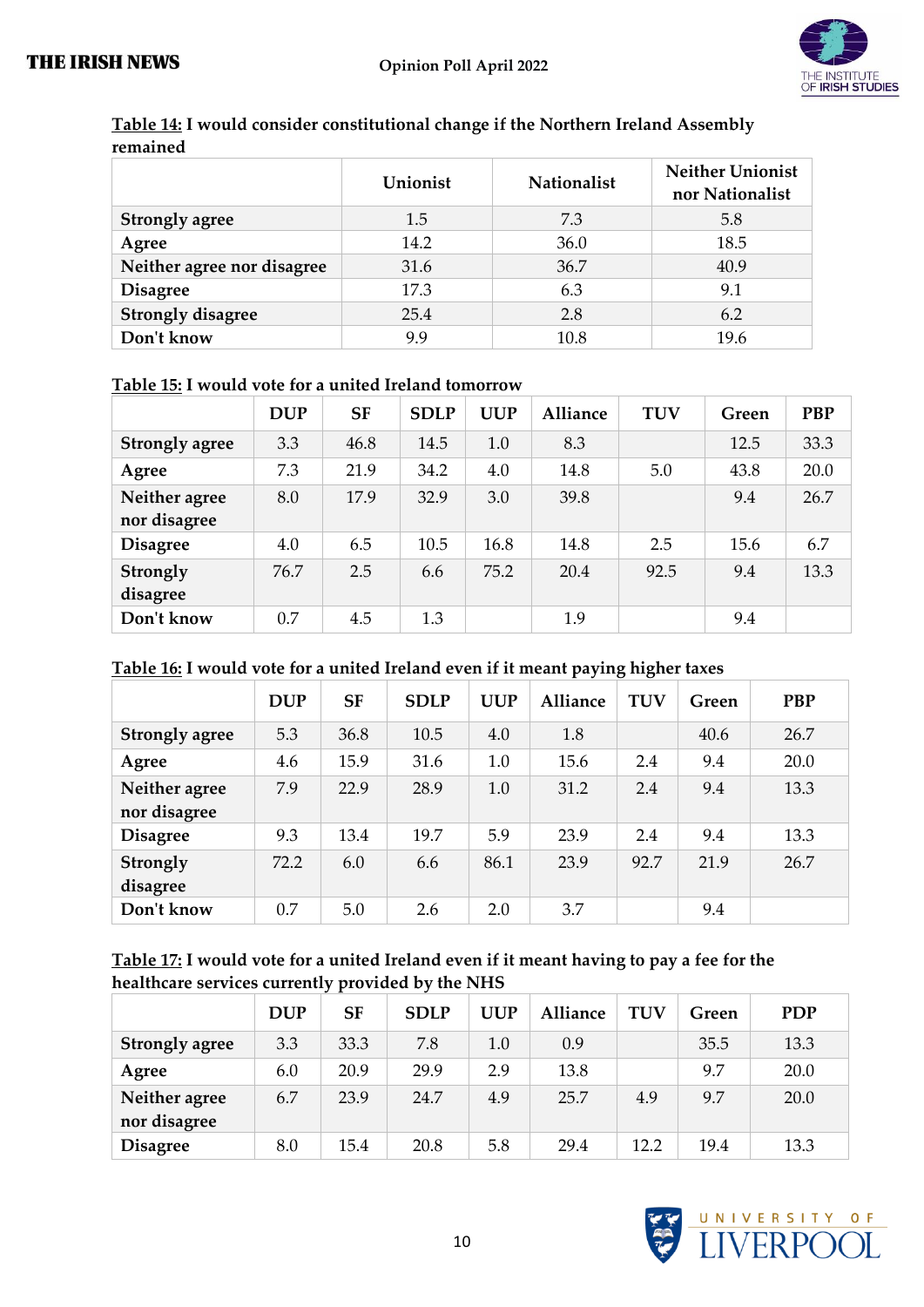

|                            | Unionist | <b>Nationalist</b> | <b>Neither Unionist</b><br>nor Nationalist |
|----------------------------|----------|--------------------|--------------------------------------------|
| <b>Strongly agree</b>      | 1.5      | 7.3                | 5.8                                        |
| Agree                      | 14.2     | 36.0               | 18.5                                       |
| Neither agree nor disagree | 31.6     | 36.7               | 40.9                                       |
| <b>Disagree</b>            | 17.3     | 6.3                | 9.1                                        |
| <b>Strongly disagree</b>   | 25.4     | 2.8                | 6.2                                        |
| Don't know                 | 9.9      | 10.8               | 19.6                                       |

| Table 14: I would consider constitutional change if the Northern Ireland Assembly |  |
|-----------------------------------------------------------------------------------|--|
| remained                                                                          |  |

#### **Table 15: I would vote for a united Ireland tomorrow**

|                       | <b>DUP</b> | <b>SF</b> | <b>SDLP</b> | <b>UUP</b> | <b>Alliance</b> | <b>TUV</b> | Green | <b>PBP</b> |
|-----------------------|------------|-----------|-------------|------------|-----------------|------------|-------|------------|
| <b>Strongly agree</b> | 3.3        | 46.8      | 14.5        | 1.0        | 8.3             |            | 12.5  | 33.3       |
| Agree                 | 7.3        | 21.9      | 34.2        | 4.0        | 14.8            | 5.0        | 43.8  | 20.0       |
| Neither agree         | 8.0        | 17.9      | 32.9        | 3.0        | 39.8            |            | 9.4   | 26.7       |
| nor disagree          |            |           |             |            |                 |            |       |            |
| <b>Disagree</b>       | 4.0        | 6.5       | 10.5        | 16.8       | 14.8            | 2.5        | 15.6  | 6.7        |
| Strongly              | 76.7       | 2.5       | 6.6         | 75.2       | 20.4            | 92.5       | 9.4   | 13.3       |
| disagree              |            |           |             |            |                 |            |       |            |
| Don't know            | 0.7        | 4.5       | 1.3         |            | 1.9             |            | 9.4   |            |

#### **Table 16: I would vote for a united Ireland even if it meant paying higher taxes**

|                       | <b>DUP</b> | <b>SF</b> | <b>SDLP</b> | <b>UUP</b> | <b>Alliance</b> | <b>TUV</b> | Green | <b>PBP</b> |
|-----------------------|------------|-----------|-------------|------------|-----------------|------------|-------|------------|
| <b>Strongly agree</b> | 5.3        | 36.8      | 10.5        | 4.0        | 1.8             |            | 40.6  | 26.7       |
| Agree                 | 4.6        | 15.9      | 31.6        | 1.0        | 15.6            | 2.4        | 9.4   | 20.0       |
| Neither agree         | 7.9        | 22.9      | 28.9        | 1.0        | 31.2            | 2.4        | 9.4   | 13.3       |
| nor disagree          |            |           |             |            |                 |            |       |            |
| <b>Disagree</b>       | 9.3        | 13.4      | 19.7        | 5.9        | 23.9            | 2.4        | 9.4   | 13.3       |
| Strongly              | 72.2       | 6.0       | 6.6         | 86.1       | 23.9            | 92.7       | 21.9  | 26.7       |
| disagree              |            |           |             |            |                 |            |       |            |
| Don't know            | 0.7        | 5.0       | 2.6         | 2.0        | 3.7             |            | 9.4   |            |

#### **Table 17: I would vote for a united Ireland even if it meant having to pay a fee for the healthcare services currently provided by the NHS**

|                               | <b>DUP</b> | SF   | <b>SDLP</b> | <b>UUP</b> | <b>Alliance</b> | <b>TUV</b> | Green | <b>PDP</b> |
|-------------------------------|------------|------|-------------|------------|-----------------|------------|-------|------------|
| <b>Strongly agree</b>         | 3.3        | 33.3 | 7.8         | $1.0\,$    | 0.9             |            | 35.5  | 13.3       |
| Agree                         | 6.0        | 20.9 | 29.9        | 2.9        | 13.8            |            | 9.7   | 20.0       |
| Neither agree<br>nor disagree | 6.7        | 23.9 | 24.7        | 4.9        | 25.7            | 4.9        | 9.7   | 20.0       |
| <b>Disagree</b>               | 8.0        | 15.4 | 20.8        | 5.8        | 29.4            | 12.2       | 19.4  | 13.3       |

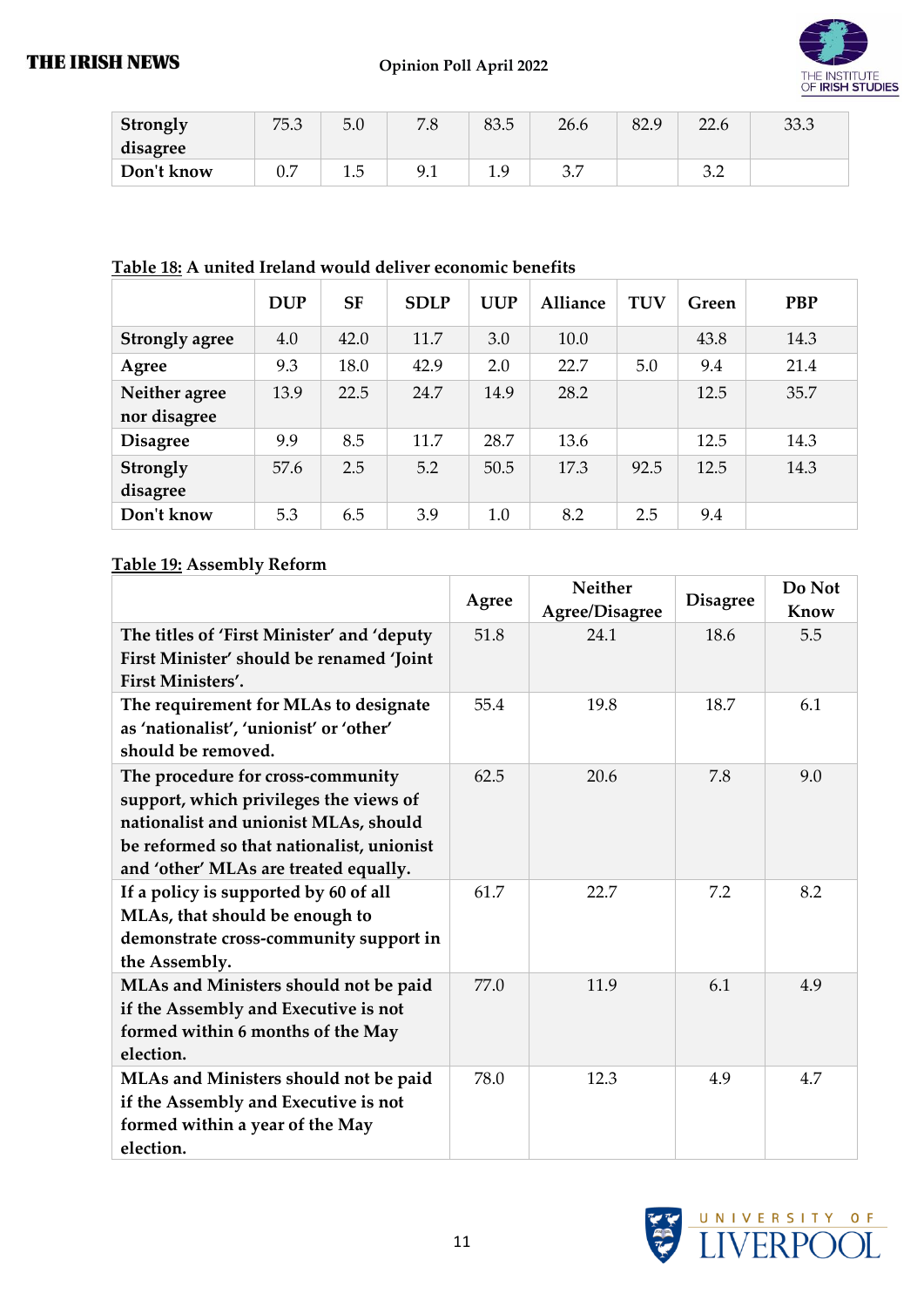

| Strongly   | 75.3 | 5.0 | 70<br>0. /                   | 83.5   | 26.6       | 82.9 | 226<br>44.U     | 33.3 |
|------------|------|-----|------------------------------|--------|------------|------|-----------------|------|
| disagree   |      |     |                              |        |            |      |                 |      |
| Don't know | ∪.∕  | ⊥⊷  | Q <sub>1</sub><br>, <u>,</u> | ്ധ<br> | ה ה<br>ر.ر |      | <u>ົ</u><br>◡.← |      |

#### **Table 18: A united Ireland would deliver economic benefits**

|                       | <b>DUP</b> | <b>SF</b> | <b>SDLP</b> | <b>UUP</b> | <b>Alliance</b> | <b>TUV</b> | Green | <b>PBP</b> |
|-----------------------|------------|-----------|-------------|------------|-----------------|------------|-------|------------|
| <b>Strongly agree</b> | 4.0        | 42.0      | 11.7        | 3.0        | 10.0            |            | 43.8  | 14.3       |
| Agree                 | 9.3        | 18.0      | 42.9        | 2.0        | 22.7            | 5.0        | 9.4   | 21.4       |
| Neither agree         | 13.9       | 22.5      | 24.7        | 14.9       | 28.2            |            | 12.5  | 35.7       |
| nor disagree          |            |           |             |            |                 |            |       |            |
| <b>Disagree</b>       | 9.9        | 8.5       | 11.7        | 28.7       | 13.6            |            | 12.5  | 14.3       |
| Strongly              | 57.6       | 2.5       | 5.2         | 50.5       | 17.3            | 92.5       | 12.5  | 14.3       |
| disagree              |            |           |             |            |                 |            |       |            |
| Don't know            | 5.3        | 6.5       | 3.9         | 1.0        | 8.2             | 2.5        | 9.4   |            |

#### **Table 19: Assembly Reform**

|                                            | Agree | <b>Neither</b><br>Agree/Disagree | <b>Disagree</b> | Do Not<br>Know |
|--------------------------------------------|-------|----------------------------------|-----------------|----------------|
| The titles of 'First Minister' and 'deputy | 51.8  | 24.1                             | 18.6            | 5.5            |
| First Minister' should be renamed 'Joint   |       |                                  |                 |                |
| <b>First Ministers'.</b>                   |       |                                  |                 |                |
| The requirement for MLAs to designate      | 55.4  | 19.8                             | 18.7            | 6.1            |
| as 'nationalist', 'unionist' or 'other'    |       |                                  |                 |                |
| should be removed.                         |       |                                  |                 |                |
| The procedure for cross-community          | 62.5  | 20.6                             | 7.8             | 9.0            |
| support, which privileges the views of     |       |                                  |                 |                |
| nationalist and unionist MLAs, should      |       |                                  |                 |                |
| be reformed so that nationalist, unionist  |       |                                  |                 |                |
| and 'other' MLAs are treated equally.      |       |                                  |                 |                |
| If a policy is supported by 60 of all      | 61.7  | 22.7                             | 7.2             | 8.2            |
| MLAs, that should be enough to             |       |                                  |                 |                |
| demonstrate cross-community support in     |       |                                  |                 |                |
| the Assembly.                              |       |                                  |                 |                |
| MLAs and Ministers should not be paid      | 77.0  | 11.9                             | 6.1             | 4.9            |
| if the Assembly and Executive is not       |       |                                  |                 |                |
| formed within 6 months of the May          |       |                                  |                 |                |
| election.                                  |       |                                  |                 |                |
| MLAs and Ministers should not be paid      | 78.0  | 12.3                             | 4.9             | 4.7            |
| if the Assembly and Executive is not       |       |                                  |                 |                |
| formed within a year of the May            |       |                                  |                 |                |
| election.                                  |       |                                  |                 |                |

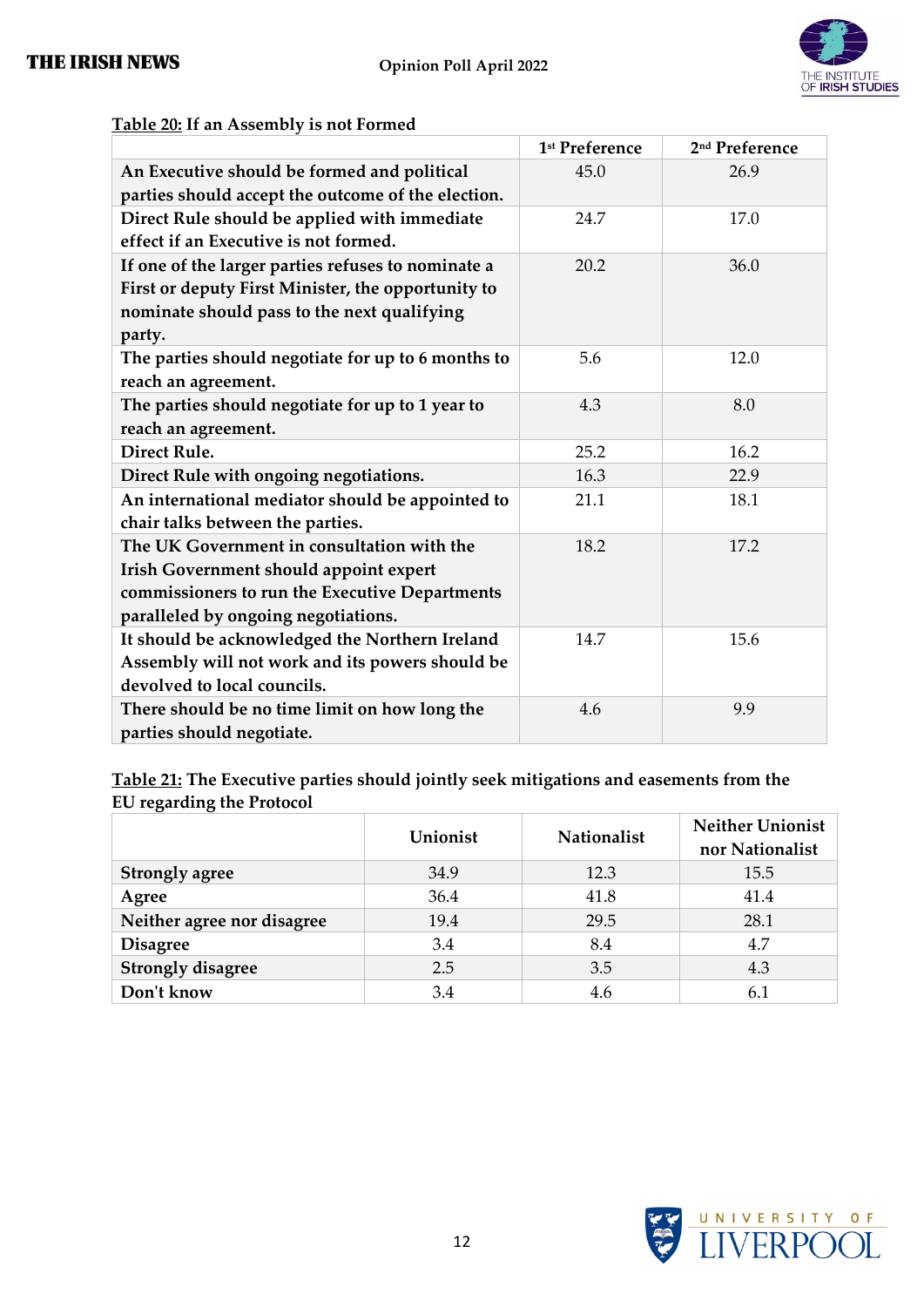

|                                                    | 1 <sup>st</sup> Preference | 2 <sup>nd</sup> Preference |
|----------------------------------------------------|----------------------------|----------------------------|
| An Executive should be formed and political        | 45.0                       | 26.9                       |
| parties should accept the outcome of the election. |                            |                            |
| Direct Rule should be applied with immediate       | 24.7                       | 17.0                       |
| effect if an Executive is not formed.              |                            |                            |
| If one of the larger parties refuses to nominate a | 20.2                       | 36.0                       |
| First or deputy First Minister, the opportunity to |                            |                            |
| nominate should pass to the next qualifying        |                            |                            |
| party.                                             |                            |                            |
| The parties should negotiate for up to 6 months to | 5.6                        | 12.0                       |
| reach an agreement.                                |                            |                            |
| The parties should negotiate for up to 1 year to   | 4.3                        | 8.0                        |
| reach an agreement.                                |                            |                            |
| Direct Rule.                                       | 25.2                       | 16.2                       |
| Direct Rule with ongoing negotiations.             | 16.3                       | 22.9                       |
| An international mediator should be appointed to   | 21.1                       | 18.1                       |
| chair talks between the parties.                   |                            |                            |
| The UK Government in consultation with the         | 18.2                       | 17.2                       |
| Irish Government should appoint expert             |                            |                            |
| commissioners to run the Executive Departments     |                            |                            |
| paralleled by ongoing negotiations.                |                            |                            |
| It should be acknowledged the Northern Ireland     | 14.7                       | 15.6                       |
| Assembly will not work and its powers should be    |                            |                            |
| devolved to local councils.                        |                            |                            |
| There should be no time limit on how long the      | 4.6                        | 9.9                        |
| parties should negotiate.                          |                            |                            |

#### **Table 20: If an Assembly is not Formed**

**Table 21: The Executive parties should jointly seek mitigations and easements from the EU regarding the Protocol**

|                            | Unionist | Nationalist | <b>Neither Unionist</b><br>nor Nationalist |
|----------------------------|----------|-------------|--------------------------------------------|
| <b>Strongly agree</b>      | 34.9     | 12.3        | 15.5                                       |
| Agree                      | 36.4     | 41.8        | 41.4                                       |
| Neither agree nor disagree | 19.4     | 29.5        | 28.1                                       |
| <b>Disagree</b>            | 3.4      | 8.4         | 4.7                                        |
| <b>Strongly disagree</b>   | 2.5      | 3.5         | 4.3                                        |
| Don't know                 | 3.4      | 4.6         | 6.1                                        |

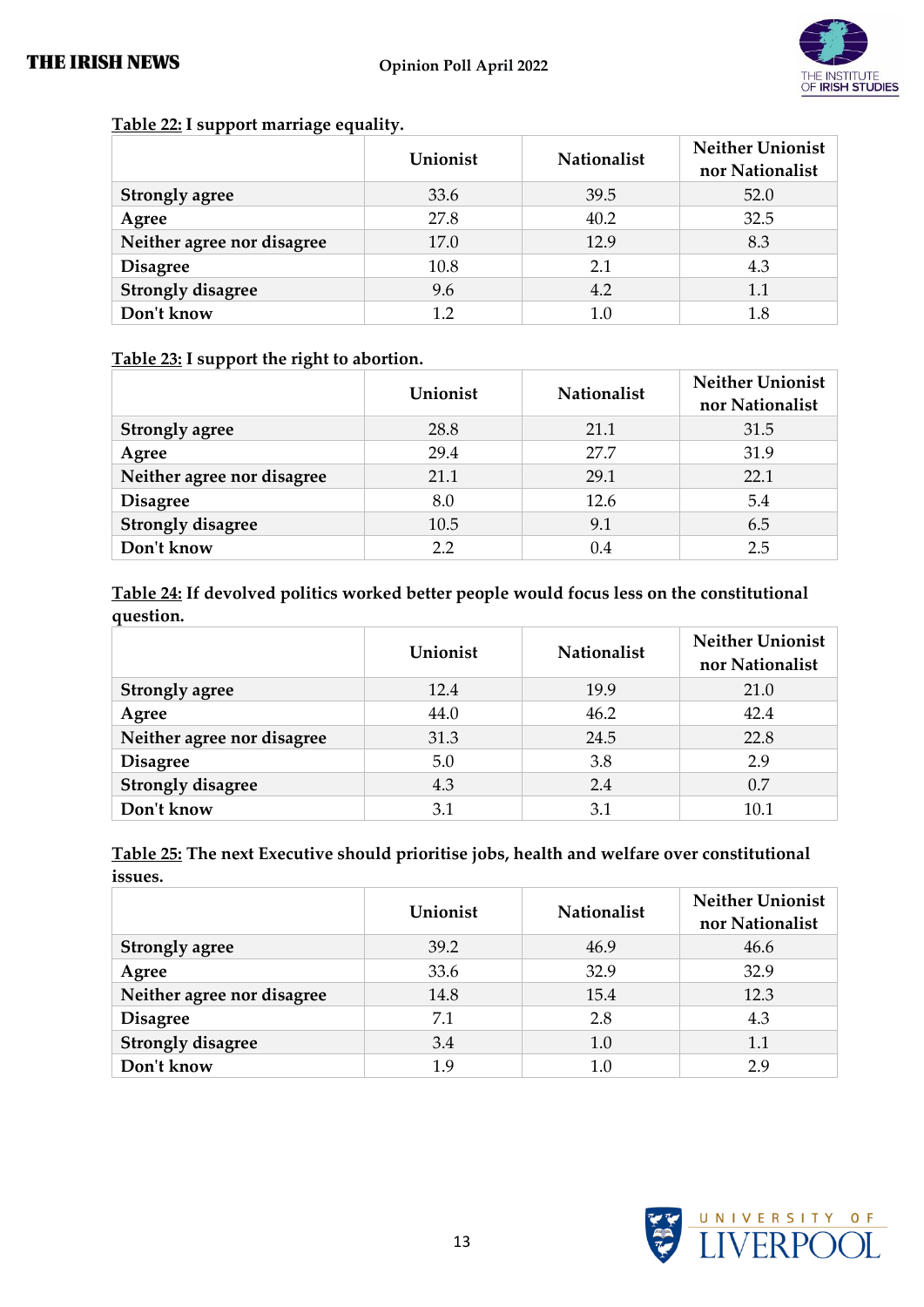

|                            | Unionist | <b>Nationalist</b> | <b>Neither Unionist</b><br>nor Nationalist |
|----------------------------|----------|--------------------|--------------------------------------------|
| <b>Strongly agree</b>      | 33.6     | 39.5               | 52.0                                       |
| Agree                      | 27.8     | 40.2               | 32.5                                       |
| Neither agree nor disagree | 17.0     | 12.9               | 8.3                                        |
| <b>Disagree</b>            | 10.8     | 2.1                | 4.3                                        |
| <b>Strongly disagree</b>   | 9.6      | 4.2                | 1.1                                        |
| Don't know                 | 12       | 1.0                | 1.8                                        |

#### **Table 22: I support marriage equality.**

#### **Table 23: I support the right to abortion.**

|                            | Unionist | <b>Nationalist</b> | <b>Neither Unionist</b><br>nor Nationalist |
|----------------------------|----------|--------------------|--------------------------------------------|
| <b>Strongly agree</b>      | 28.8     | 21.1               | 31.5                                       |
| Agree                      | 29.4     | 27.7               | 31.9                                       |
| Neither agree nor disagree | 21.1     | 29.1               | 22.1                                       |
| <b>Disagree</b>            | 8.0      | 12.6               | 5.4                                        |
| <b>Strongly disagree</b>   | 10.5     | 9.1                | 6.5                                        |
| Don't know                 | 2.2      | 0.4                | 2.5                                        |

**Table 24: If devolved politics worked better people would focus less on the constitutional question.**

|                            | Unionist | <b>Nationalist</b> | <b>Neither Unionist</b><br>nor Nationalist |
|----------------------------|----------|--------------------|--------------------------------------------|
| <b>Strongly agree</b>      | 12.4     | 19.9               | 21.0                                       |
| Agree                      | 44.0     | 46.2               | 42.4                                       |
| Neither agree nor disagree | 31.3     | 24.5               | 22.8                                       |
| <b>Disagree</b>            | 5.0      | 3.8                | 2.9                                        |
| <b>Strongly disagree</b>   | 4.3      | 2.4                | 0.7                                        |
| Don't know                 | 3.1      | 3.1                | 10.1                                       |

**Table 25: The next Executive should prioritise jobs, health and welfare over constitutional issues.**

|                            | Unionist | <b>Nationalist</b> | <b>Neither Unionist</b><br>nor Nationalist |
|----------------------------|----------|--------------------|--------------------------------------------|
| <b>Strongly agree</b>      | 39.2     | 46.9               | 46.6                                       |
| Agree                      | 33.6     | 32.9               | 32.9                                       |
| Neither agree nor disagree | 14.8     | 15.4               | 12.3                                       |
| <b>Disagree</b>            | 7.1      | 2.8                | 4.3                                        |
| <b>Strongly disagree</b>   | 3.4      | 1.0                | 1.1                                        |
| Don't know                 | 1.9      | 1.0                | 29                                         |

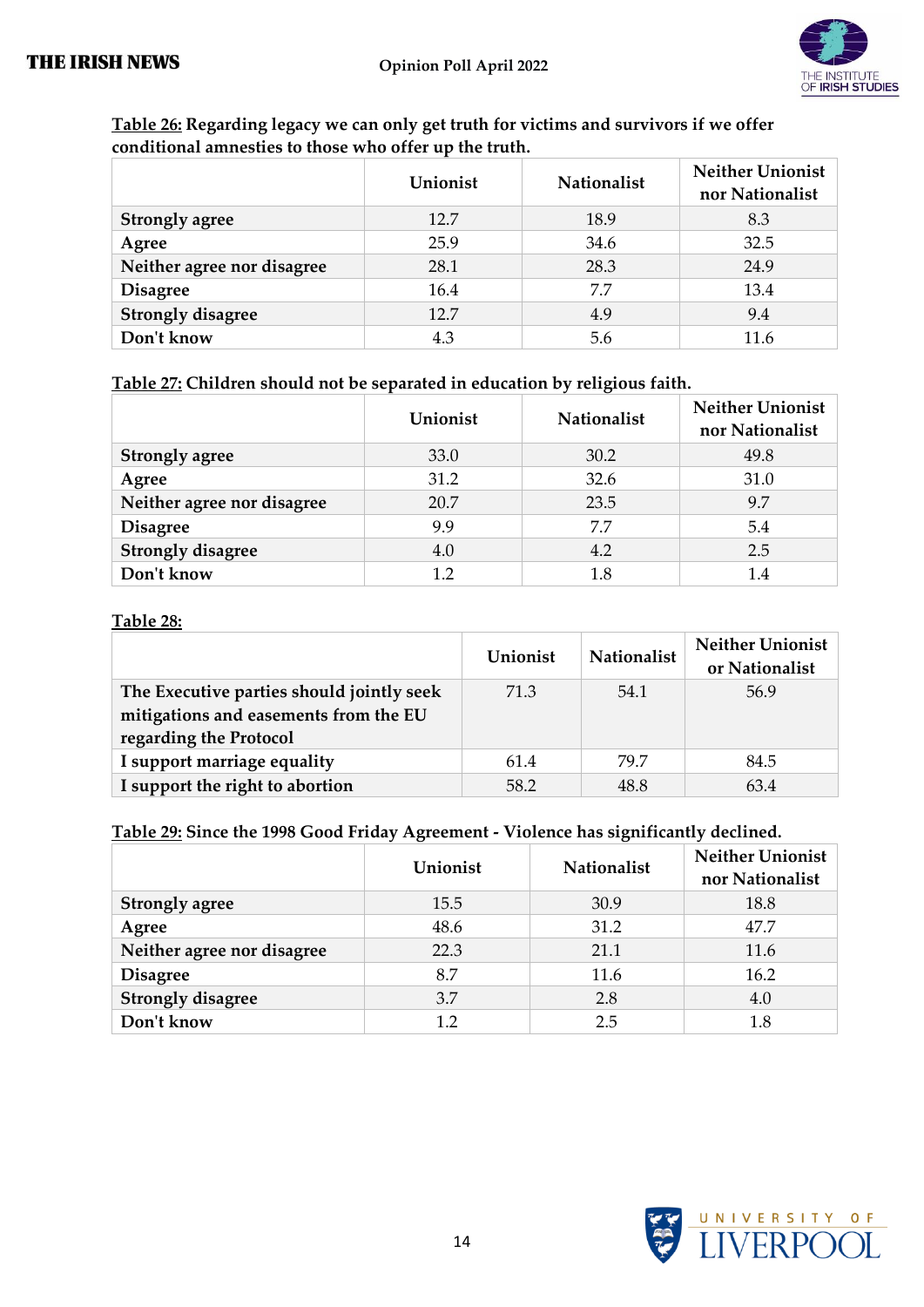

| Table 26: Regarding legacy we can only get truth for victims and survivors if we offer |
|----------------------------------------------------------------------------------------|
| conditional amnesties to those who offer up the truth.                                 |

|                            | Unionist | <b>Nationalist</b> | <b>Neither Unionist</b><br>nor Nationalist |
|----------------------------|----------|--------------------|--------------------------------------------|
| <b>Strongly agree</b>      | 12.7     | 18.9               | 8.3                                        |
| Agree                      | 25.9     | 34.6               | 32.5                                       |
| Neither agree nor disagree | 28.1     | 28.3               | 24.9                                       |
| <b>Disagree</b>            | 16.4     | 7.7                | 13.4                                       |
| <b>Strongly disagree</b>   | 12.7     | 4.9                | 9.4                                        |
| Don't know                 | 4.3      | 5.6                | 11 6                                       |

#### **Table 27: Children should not be separated in education by religious faith.**

|                            | Unionist | <b>Nationalist</b> | <b>Neither Unionist</b><br>nor Nationalist |
|----------------------------|----------|--------------------|--------------------------------------------|
| <b>Strongly agree</b>      | 33.0     | 30.2               | 49.8                                       |
| Agree                      | 31.2     | 32.6               | 31.0                                       |
| Neither agree nor disagree | 20.7     | 23.5               | 9.7                                        |
| <b>Disagree</b>            | 9.9      | 7.7                | 5.4                                        |
| <b>Strongly disagree</b>   | 4.0      | 4.2                | 2.5                                        |
| Don't know                 | 1.2      | 1.8                | 1.4                                        |

#### **Table 28:**

|                                           | Unionist | <b>Nationalist</b> | <b>Neither Unionist</b><br>or Nationalist |
|-------------------------------------------|----------|--------------------|-------------------------------------------|
| The Executive parties should jointly seek | 71.3     | 54.1               | 56.9                                      |
| mitigations and easements from the EU     |          |                    |                                           |
| regarding the Protocol                    |          |                    |                                           |
| I support marriage equality               | 61.4     | 79.7               | 84.5                                      |
| I support the right to abortion           | 58.2     | 48.8               | 63.4                                      |

#### **Table 29: Since the 1998 Good Friday Agreement - Violence has significantly declined.**

|                            | Unionist | <b>Nationalist</b> | <b>Neither Unionist</b><br>nor Nationalist |
|----------------------------|----------|--------------------|--------------------------------------------|
| <b>Strongly agree</b>      | 15.5     | 30.9               | 18.8                                       |
| Agree                      | 48.6     | 31.2               | 47.7                                       |
| Neither agree nor disagree | 22.3     | 21.1               | 11.6                                       |
| <b>Disagree</b>            | 8.7      | 11.6               | 16.2                                       |
| <b>Strongly disagree</b>   | 3.7      | 2.8                | 4.0                                        |
| Don't know                 | $1.2\,$  | 2.5                | 1.8                                        |

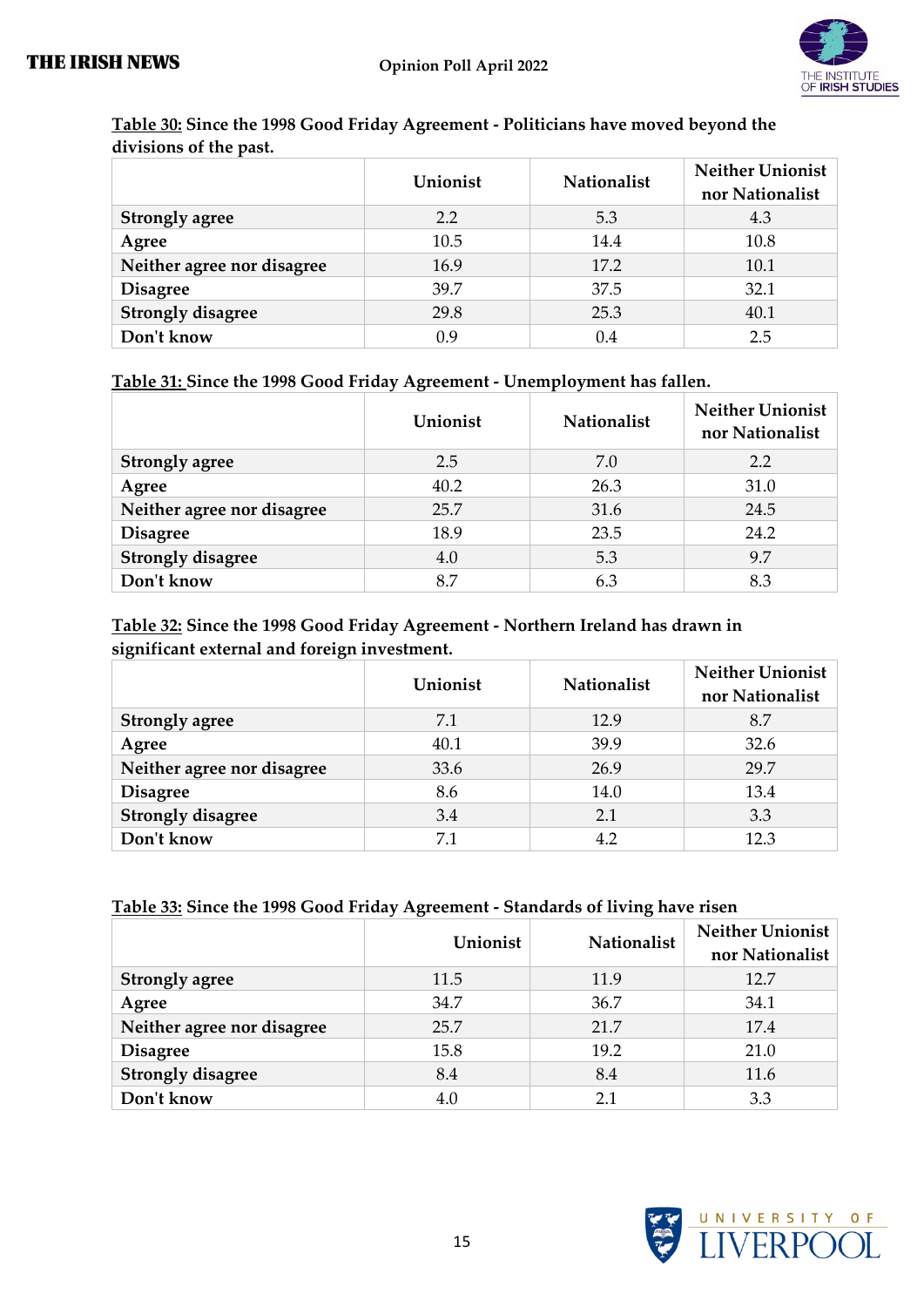

|                            | Unionist | Nationalist | <b>Neither Unionist</b><br>nor Nationalist |
|----------------------------|----------|-------------|--------------------------------------------|
| <b>Strongly agree</b>      | 2.2      | 5.3         | 4.3                                        |
| Agree                      | 10.5     | 14.4        | 10.8                                       |
| Neither agree nor disagree | 16.9     | 17.2        | 10.1                                       |
| <b>Disagree</b>            | 39.7     | 37.5        | 32.1                                       |
| <b>Strongly disagree</b>   | 29.8     | 25.3        | 40.1                                       |
| Don't know                 | 0.9      | 0.4         | 2.5                                        |

#### **Table 30: Since the 1998 Good Friday Agreement - Politicians have moved beyond the divisions of the past.**

#### **Table 31: Since the 1998 Good Friday Agreement - Unemployment has fallen.**

|                            | Unionist | <b>Nationalist</b> | <b>Neither Unionist</b><br>nor Nationalist |
|----------------------------|----------|--------------------|--------------------------------------------|
| <b>Strongly agree</b>      | 2.5      | 7.0                | 2.2                                        |
| Agree                      | 40.2     | 26.3               | 31.0                                       |
| Neither agree nor disagree | 25.7     | 31.6               | 24.5                                       |
| <b>Disagree</b>            | 18.9     | 23.5               | 24.2                                       |
| <b>Strongly disagree</b>   | 4.0      | 5.3                | 9.7                                        |
| Don't know                 | 8.7      | 6.3                | 8.3                                        |

#### **Table 32: Since the 1998 Good Friday Agreement - Northern Ireland has drawn in significant external and foreign investment.**

|                            | Unionist | <b>Nationalist</b> | <b>Neither Unionist</b><br>nor Nationalist |
|----------------------------|----------|--------------------|--------------------------------------------|
| <b>Strongly agree</b>      | 7.1      | 12.9               | 8.7                                        |
| Agree                      | 40.1     | 39.9               | 32.6                                       |
| Neither agree nor disagree | 33.6     | 26.9               | 29.7                                       |
| <b>Disagree</b>            | 8.6      | 14.0               | 13.4                                       |
| <b>Strongly disagree</b>   | 3.4      | 2.1                | 3.3                                        |
| Don't know                 | 7.1      | 4.2                | 12.3                                       |

#### **Table 33: Since the 1998 Good Friday Agreement - Standards of living have risen**

|                            | Unionist | Nationalist | <b>Neither Unionist</b><br>nor Nationalist |
|----------------------------|----------|-------------|--------------------------------------------|
| <b>Strongly agree</b>      | 11.5     | 11.9        | 12.7                                       |
| Agree                      | 34.7     | 36.7        | 34.1                                       |
| Neither agree nor disagree | 25.7     | 21.7        | 17.4                                       |
| <b>Disagree</b>            | 15.8     | 19.2        | 21.0                                       |
| <b>Strongly disagree</b>   | 8.4      | 8.4         | 11.6                                       |
| Don't know                 | 4.0      | 21          | 3.3                                        |

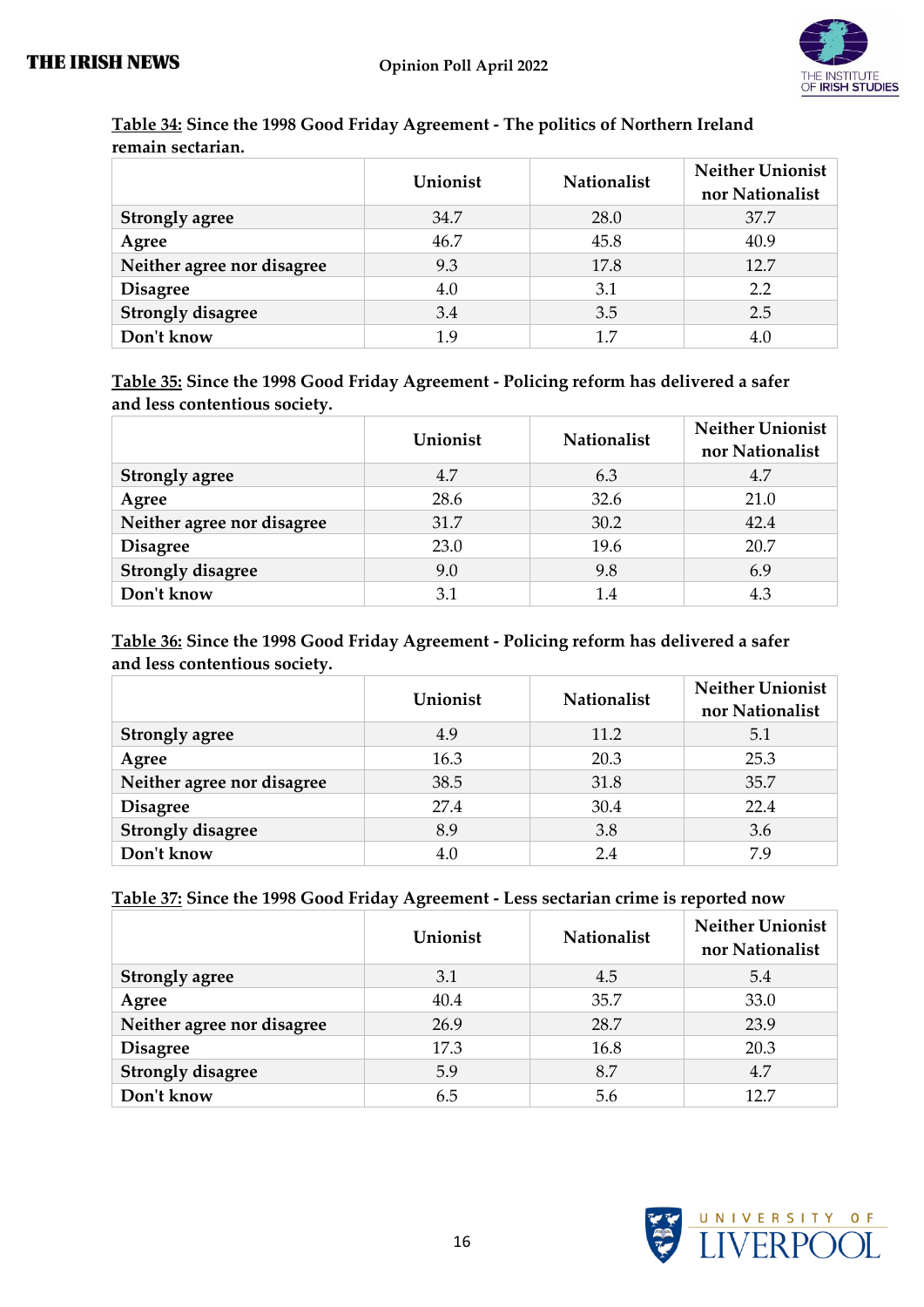

|                            | Unionist | <b>Nationalist</b> | Neither Unionist<br>nor Nationalist |
|----------------------------|----------|--------------------|-------------------------------------|
| <b>Strongly agree</b>      | 34.7     | 28.0               | 37.7                                |
| Agree                      | 46.7     | 45.8               | 40.9                                |
| Neither agree nor disagree | 9.3      | 17.8               | 12.7                                |
| <b>Disagree</b>            | 4.0      | 3.1                | 2.2                                 |
| <b>Strongly disagree</b>   | 3.4      | 3.5                | 2.5                                 |
| Don't know                 | 19       | 17                 | 4.0                                 |

#### **Table 34: Since the 1998 Good Friday Agreement - The politics of Northern Ireland remain sectarian.**

**Table 35: Since the 1998 Good Friday Agreement - Policing reform has delivered a safer and less contentious society.**

|                            | Unionist | <b>Nationalist</b> | <b>Neither Unionist</b><br>nor Nationalist |
|----------------------------|----------|--------------------|--------------------------------------------|
| <b>Strongly agree</b>      | 4.7      | 6.3                | 4.7                                        |
| Agree                      | 28.6     | 32.6               | 21.0                                       |
| Neither agree nor disagree | 31.7     | 30.2               | 42.4                                       |
| <b>Disagree</b>            | 23.0     | 19.6               | 20.7                                       |
| <b>Strongly disagree</b>   | 9.0      | 9.8                | 6.9                                        |
| Don't know                 | 3.1      | 1.4                | 4.3                                        |

#### **Table 36: Since the 1998 Good Friday Agreement - Policing reform has delivered a safer and less contentious society.**

|                            | Unionist | <b>Nationalist</b> | <b>Neither Unionist</b><br>nor Nationalist |
|----------------------------|----------|--------------------|--------------------------------------------|
| <b>Strongly agree</b>      | 4.9      | 11.2               | 5.1                                        |
| Agree                      | 16.3     | 20.3               | 25.3                                       |
| Neither agree nor disagree | 38.5     | 31.8               | 35.7                                       |
| <b>Disagree</b>            | 27.4     | 30.4               | 22.4                                       |
| <b>Strongly disagree</b>   | 8.9      | 3.8                | 3.6                                        |
| Don't know                 | 4.0      | 2.4                | 7.9                                        |

#### **Table 37: Since the 1998 Good Friday Agreement - Less sectarian crime is reported now**

|                            | Unionist | <b>Nationalist</b> | <b>Neither Unionist</b><br>nor Nationalist |
|----------------------------|----------|--------------------|--------------------------------------------|
| <b>Strongly agree</b>      | 3.1      | 4.5                | 5.4                                        |
| Agree                      | 40.4     | 35.7               | 33.0                                       |
| Neither agree nor disagree | 26.9     | 28.7               | 23.9                                       |
| <b>Disagree</b>            | 17.3     | 16.8               | 20.3                                       |
| <b>Strongly disagree</b>   | 5.9      | 8.7                | 4.7                                        |
| Don't know                 | 6.5      | 5.6                | 12.7                                       |

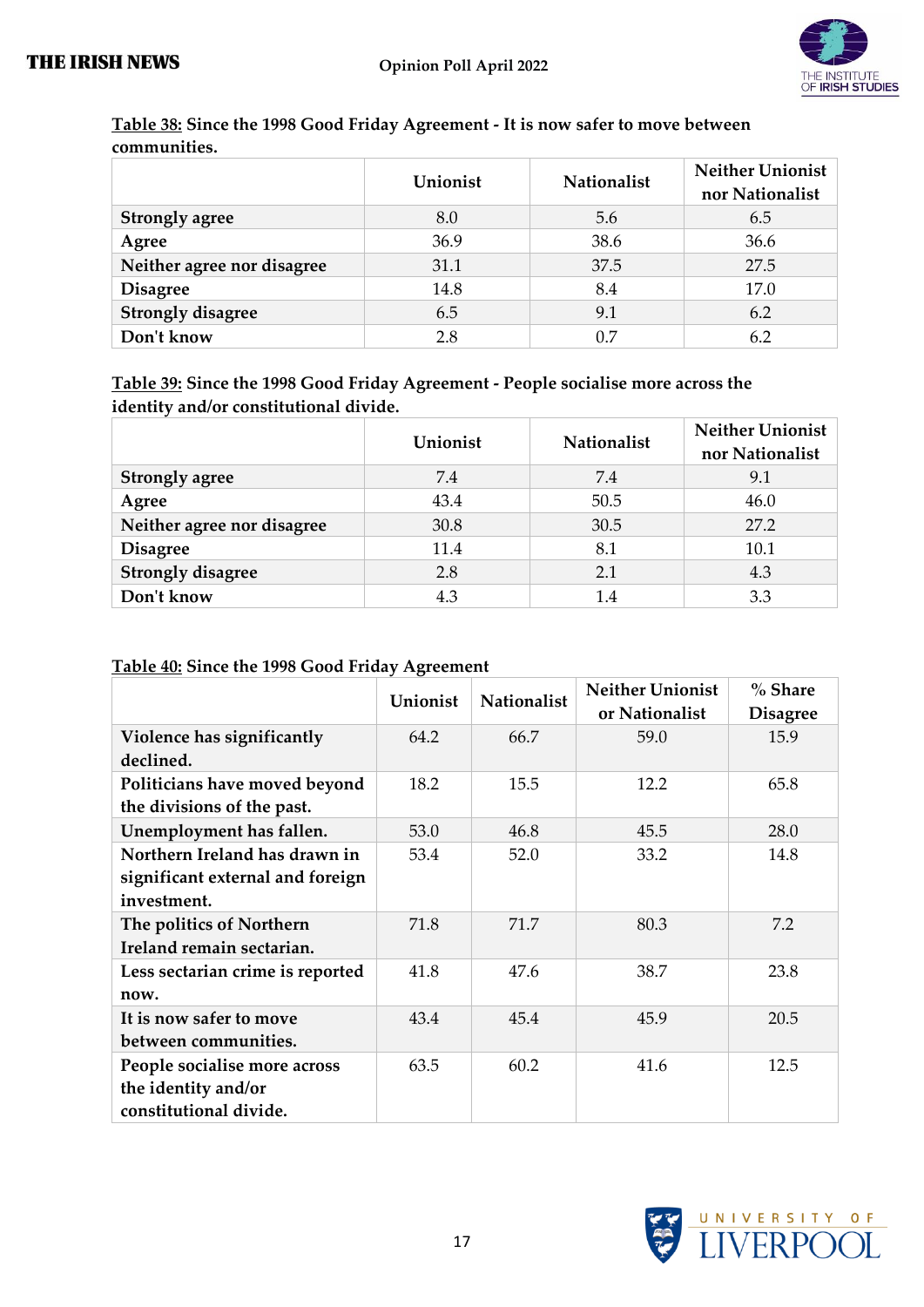

|                            | Unionist | <b>Nationalist</b> | Neither Unionist<br>nor Nationalist |
|----------------------------|----------|--------------------|-------------------------------------|
| <b>Strongly agree</b>      | 8.0      | 5.6                | 6.5                                 |
| Agree                      | 36.9     | 38.6               | 36.6                                |
| Neither agree nor disagree | 31.1     | 37.5               | 27.5                                |
| <b>Disagree</b>            | 14.8     | 8.4                | 17.0                                |
| <b>Strongly disagree</b>   | 6.5      | 9.1                | 6.2                                 |
| Don't know                 | 2.8      | በ 7                | 6.2                                 |

#### **Table 38: Since the 1998 Good Friday Agreement - It is now safer to move between communities.**

**Table 39: Since the 1998 Good Friday Agreement - People socialise more across the identity and/or constitutional divide.**

|                            | Unionist | <b>Nationalist</b> | <b>Neither Unionist</b><br>nor Nationalist |
|----------------------------|----------|--------------------|--------------------------------------------|
| <b>Strongly agree</b>      | 7.4      | 7.4                | 9.1                                        |
| Agree                      | 43.4     | 50.5               | 46.0                                       |
| Neither agree nor disagree | 30.8     | 30.5               | 27.2                                       |
| <b>Disagree</b>            | 11.4     | 8.1                | 10.1                                       |
| <b>Strongly disagree</b>   | 2.8      | 2.1                | 4.3                                        |
| Don't know                 | 4.3      | 1.4                | 3.3                                        |

#### **Table 40: Since the 1998 Good Friday Agreement**

|                                                                                  | Unionist | <b>Nationalist</b> | <b>Neither Unionist</b><br>or Nationalist | $%$ Share<br><b>Disagree</b> |
|----------------------------------------------------------------------------------|----------|--------------------|-------------------------------------------|------------------------------|
| Violence has significantly<br>declined.                                          | 64.2     | 66.7               | 59.0                                      | 15.9                         |
| Politicians have moved beyond<br>the divisions of the past.                      | 18.2     | 15.5               | 12.2                                      | 65.8                         |
| Unemployment has fallen.                                                         | 53.0     | 46.8               | 45.5                                      | 28.0                         |
| Northern Ireland has drawn in<br>significant external and foreign<br>investment. | 53.4     | 52.0               | 33.2                                      | 14.8                         |
| The politics of Northern<br>Ireland remain sectarian.                            | 71.8     | 71.7               | 80.3                                      | 7.2                          |
| Less sectarian crime is reported<br>now.                                         | 41.8     | 47.6               | 38.7                                      | 23.8                         |
| It is now safer to move<br>between communities.                                  | 43.4     | 45.4               | 45.9                                      | 20.5                         |
| People socialise more across<br>the identity and/or<br>constitutional divide.    | 63.5     | 60.2               | 41.6                                      | 12.5                         |

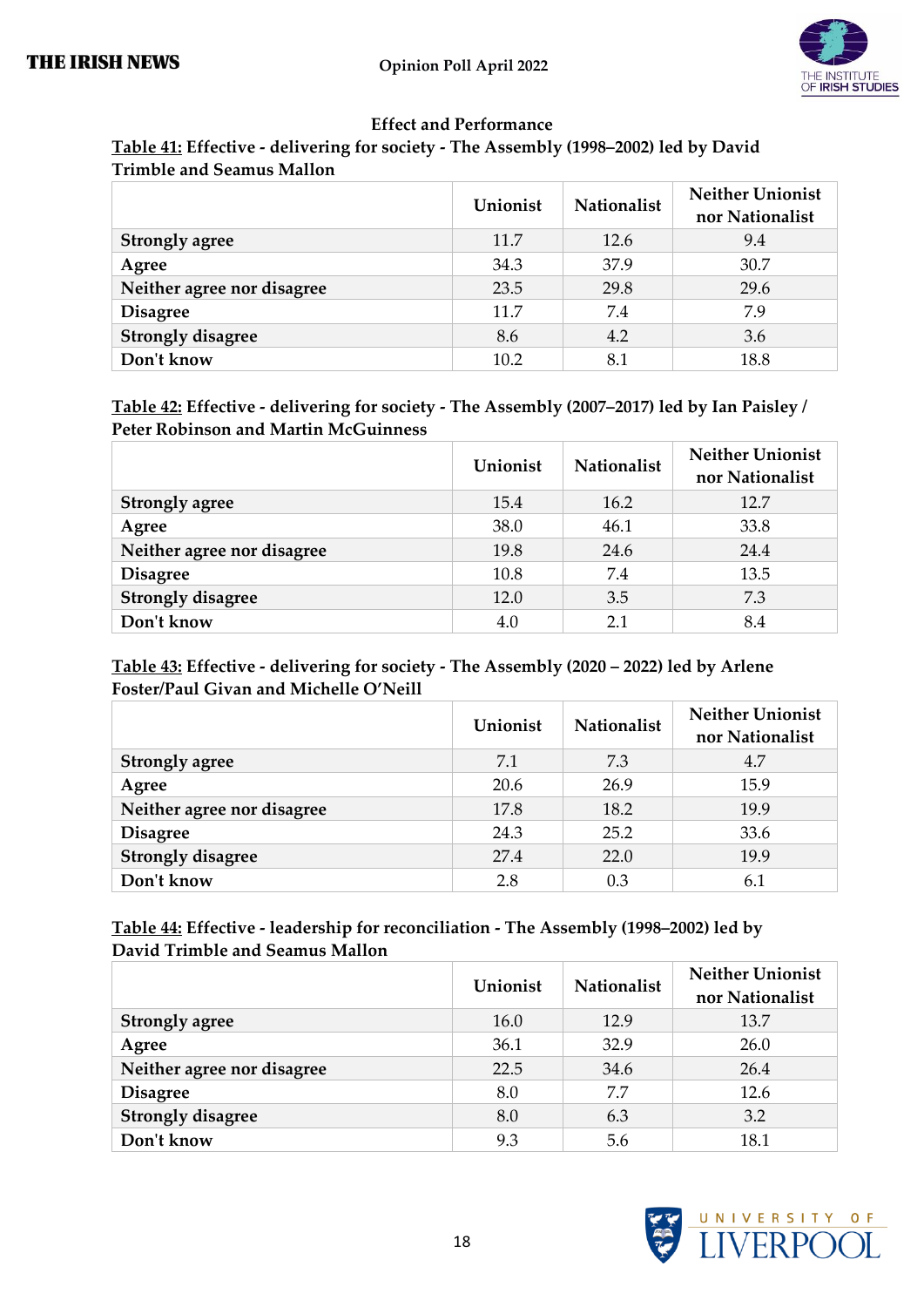

#### **Effect and Performance**

| Table 41: Effective - delivering for society - The Assembly (1998–2002) led by David |  |
|--------------------------------------------------------------------------------------|--|
| <b>Trimble and Seamus Mallon</b>                                                     |  |

|                            | Unionist | <b>Nationalist</b> | <b>Neither Unionist</b><br>nor Nationalist |
|----------------------------|----------|--------------------|--------------------------------------------|
| <b>Strongly agree</b>      | 11.7     | 12.6               | 9.4                                        |
| Agree                      | 34.3     | 37.9               | 30.7                                       |
| Neither agree nor disagree | 23.5     | 29.8               | 29.6                                       |
| <b>Disagree</b>            | 11.7     | 7.4                | 7.9                                        |
| <b>Strongly disagree</b>   | 8.6      | 4.2                | 3.6                                        |
| Don't know                 | 10.2     | 8.1                | 18.8                                       |

#### **Table 42: Effective - delivering for society - The Assembly (2007–2017) led by Ian Paisley / Peter Robinson and Martin McGuinness**

|                            | Unionist | <b>Nationalist</b> | <b>Neither Unionist</b><br>nor Nationalist |
|----------------------------|----------|--------------------|--------------------------------------------|
| <b>Strongly agree</b>      | 15.4     | 16.2               | 12.7                                       |
| Agree                      | 38.0     | 46.1               | 33.8                                       |
| Neither agree nor disagree | 19.8     | 24.6               | 24.4                                       |
| <b>Disagree</b>            | 10.8     | 7.4                | 13.5                                       |
| <b>Strongly disagree</b>   | 12.0     | 3.5                | 7.3                                        |
| Don't know                 | 4.0      | 2.1                | 8.4                                        |

#### **Table 43: Effective - delivering for society - The Assembly (2020 – 2022) led by Arlene Foster/Paul Givan and Michelle O'Neill**

|                            | Unionist | <b>Nationalist</b> | <b>Neither Unionist</b><br>nor Nationalist |
|----------------------------|----------|--------------------|--------------------------------------------|
| <b>Strongly agree</b>      | 7.1      | 7.3                | 4.7                                        |
| Agree                      | 20.6     | 26.9               | 15.9                                       |
| Neither agree nor disagree | 17.8     | 18.2               | 19.9                                       |
| <b>Disagree</b>            | 24.3     | 25.2               | 33.6                                       |
| <b>Strongly disagree</b>   | 27.4     | 22.0               | 19.9                                       |
| Don't know                 | 2.8      | 0.3                | 6.1                                        |

#### **Table 44: Effective - leadership for reconciliation - The Assembly (1998–2002) led by David Trimble and Seamus Mallon**

|                            | Unionist | <b>Nationalist</b> | <b>Neither Unionist</b><br>nor Nationalist |
|----------------------------|----------|--------------------|--------------------------------------------|
| <b>Strongly agree</b>      | 16.0     | 12.9               | 13.7                                       |
| Agree                      | 36.1     | 32.9               | 26.0                                       |
| Neither agree nor disagree | 22.5     | 34.6               | 26.4                                       |
| <b>Disagree</b>            | 8.0      | 7.7                | 12.6                                       |
| <b>Strongly disagree</b>   | 8.0      | 6.3                | 3.2                                        |
| Don't know                 | 9.3      | 5.6                | 18.1                                       |

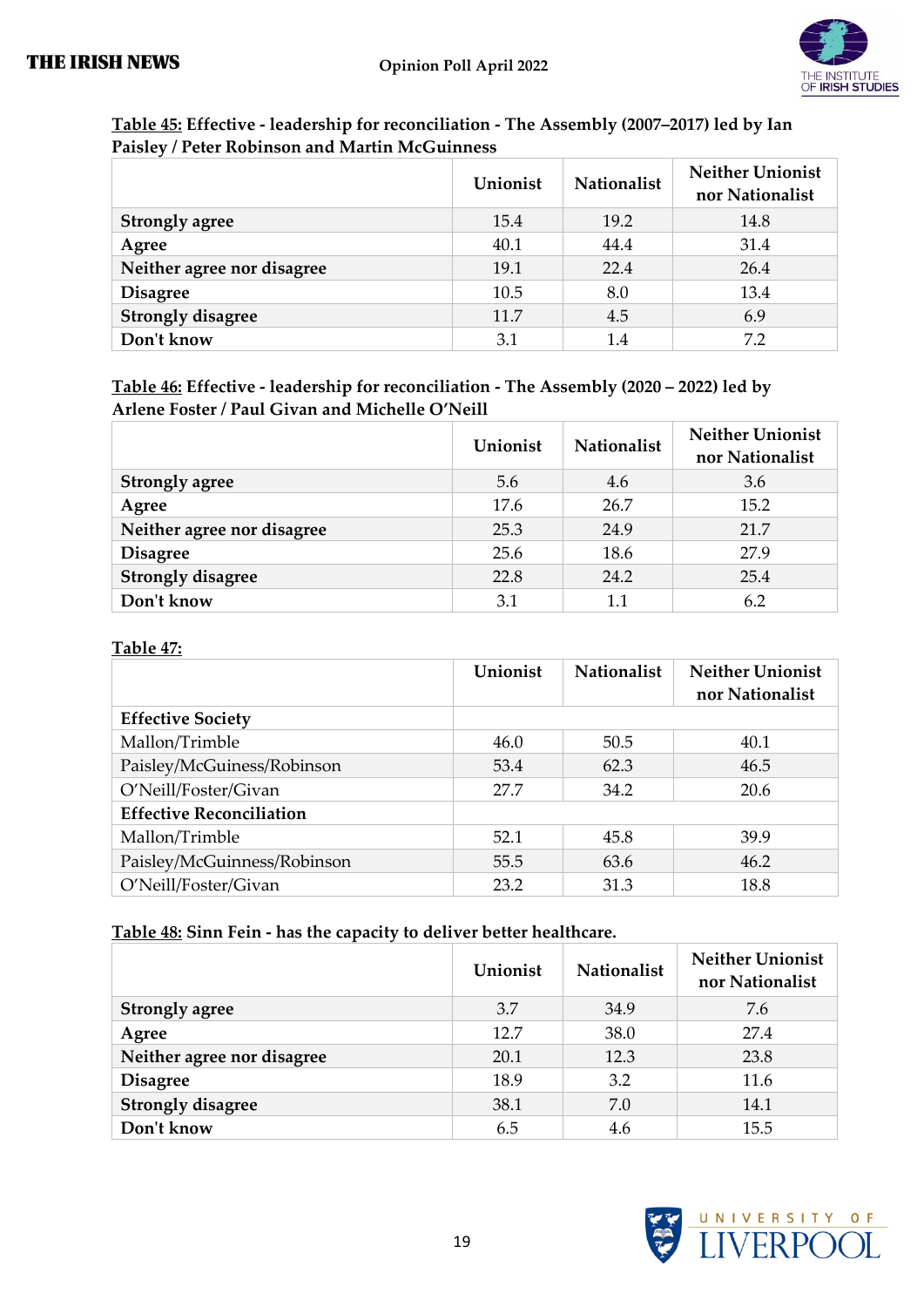

| Table 45: Effective - leadership for reconciliation - The Assembly (2007–2017) led by Ian |  |
|-------------------------------------------------------------------------------------------|--|
| Paisley / Peter Robinson and Martin McGuinness                                            |  |

|                            | Unionist | <b>Nationalist</b> | <b>Neither Unionist</b><br>nor Nationalist |
|----------------------------|----------|--------------------|--------------------------------------------|
| <b>Strongly agree</b>      | 15.4     | 19.2               | 14.8                                       |
| Agree                      | 40.1     | 44.4               | 31.4                                       |
| Neither agree nor disagree | 19.1     | 22.4               | 26.4                                       |
| <b>Disagree</b>            | 10.5     | 8.0                | 13.4                                       |
| <b>Strongly disagree</b>   | 11.7     | 4.5                | 6.9                                        |
| Don't know                 | 3.1      | 1.4                | 72                                         |

**Table 46: Effective - leadership for reconciliation - The Assembly (2020 – 2022) led by Arlene Foster / Paul Givan and Michelle O'Neill**

|                            | Unionist | <b>Nationalist</b> | <b>Neither Unionist</b><br>nor Nationalist |
|----------------------------|----------|--------------------|--------------------------------------------|
| <b>Strongly agree</b>      | 5.6      | 4.6                | 3.6                                        |
| Agree                      | 17.6     | 26.7               | 15.2                                       |
| Neither agree nor disagree | 25.3     | 24.9               | 21.7                                       |
| <b>Disagree</b>            | 25.6     | 18.6               | 27.9                                       |
| <b>Strongly disagree</b>   | 22.8     | 24.2               | 25.4                                       |
| Don't know                 | 3.1      | 1.1                | 6.2                                        |

#### **Table 47:**

|                                 | Unionist | <b>Nationalist</b> | <b>Neither Unionist</b><br>nor Nationalist |
|---------------------------------|----------|--------------------|--------------------------------------------|
| <b>Effective Society</b>        |          |                    |                                            |
| Mallon/Trimble                  | 46.0     | 50.5               | 40.1                                       |
| Paisley/McGuiness/Robinson      | 53.4     | 62.3               | 46.5                                       |
| O'Neill/Foster/Givan            | 27.7     | 34.2               | 20.6                                       |
| <b>Effective Reconciliation</b> |          |                    |                                            |
| Mallon/Trimble                  | 52.1     | 45.8               | 39.9                                       |
| Paisley/McGuinness/Robinson     | 55.5     | 63.6               | 46.2                                       |
| O'Neill/Foster/Givan            | 23.2     | 31.3               | 18.8                                       |

#### **Table 48: Sinn Fein - has the capacity to deliver better healthcare.**

|                            | Unionist | <b>Nationalist</b> | <b>Neither Unionist</b><br>nor Nationalist |
|----------------------------|----------|--------------------|--------------------------------------------|
| <b>Strongly agree</b>      | 3.7      | 34.9               | 7.6                                        |
| Agree                      | 12.7     | 38.0               | 27.4                                       |
| Neither agree nor disagree | 20.1     | 12.3               | 23.8                                       |
| <b>Disagree</b>            | 18.9     | 3.2                | 11.6                                       |
| <b>Strongly disagree</b>   | 38.1     | 7.0                | 14.1                                       |
| Don't know                 | 6.5      | 4.6                | 15.5                                       |

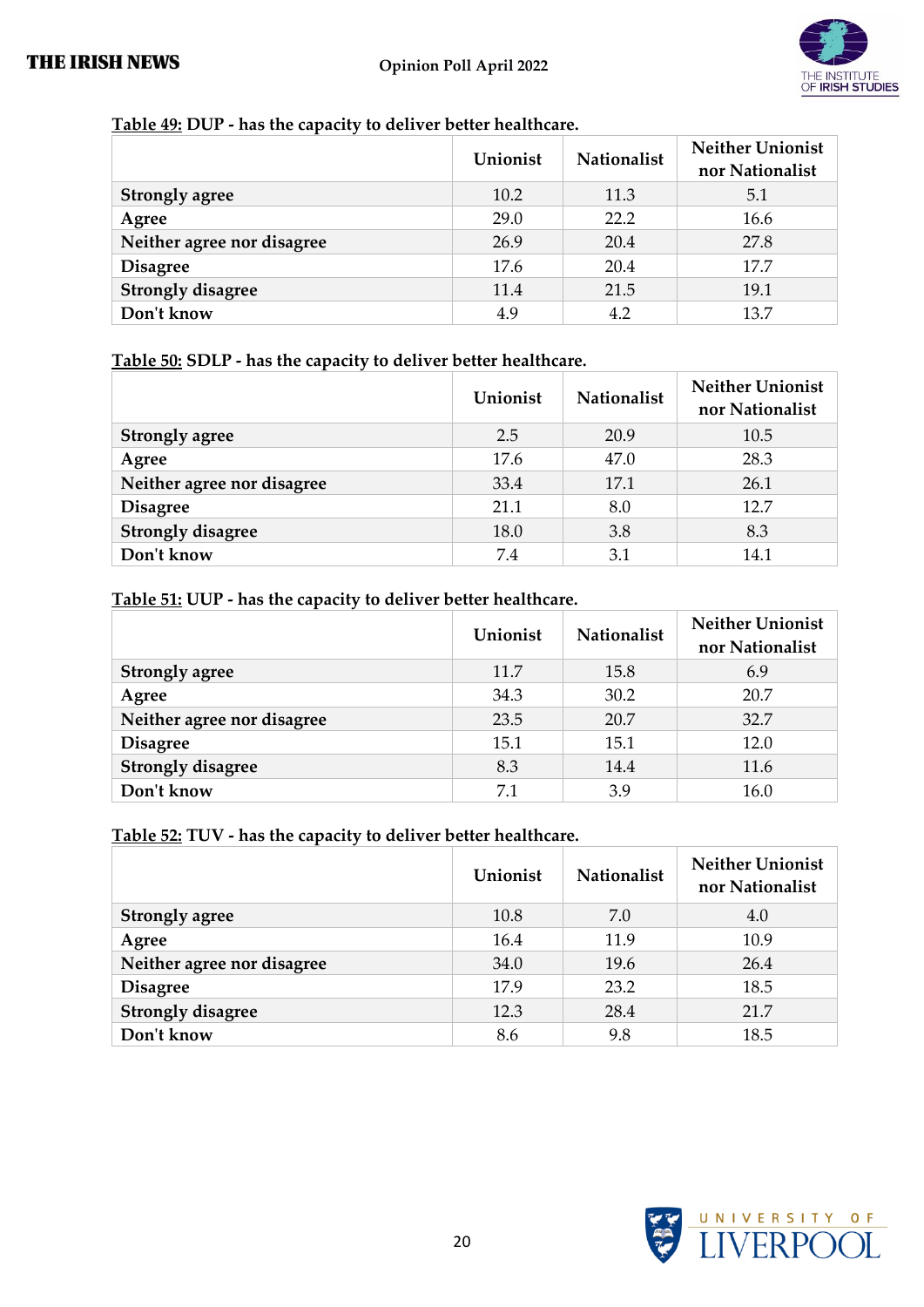

#### **Table 49: DUP - has the capacity to deliver better healthcare.**

|                            | Unionist | <b>Nationalist</b> | <b>Neither Unionist</b><br>nor Nationalist |
|----------------------------|----------|--------------------|--------------------------------------------|
| <b>Strongly agree</b>      | 10.2     | 11.3               | 5.1                                        |
| Agree                      | 29.0     | 22.2               | 16.6                                       |
| Neither agree nor disagree | 26.9     | 20.4               | 27.8                                       |
| <b>Disagree</b>            | 17.6     | 20.4               | 17.7                                       |
| <b>Strongly disagree</b>   | 11.4     | 21.5               | 19.1                                       |
| Don't know                 | 4.9      | 4.2                | 13.7                                       |

#### **Table 50: SDLP - has the capacity to deliver better healthcare.**

|                            | Unionist | <b>Nationalist</b> | <b>Neither Unionist</b><br>nor Nationalist |
|----------------------------|----------|--------------------|--------------------------------------------|
| <b>Strongly agree</b>      | 2.5      | 20.9               | 10.5                                       |
| Agree                      | 17.6     | 47.0               | 28.3                                       |
| Neither agree nor disagree | 33.4     | 17.1               | 26.1                                       |
| <b>Disagree</b>            | 21.1     | 8.0                | 12.7                                       |
| <b>Strongly disagree</b>   | 18.0     | 3.8                | 8.3                                        |
| Don't know                 | 7.4      | 3.1                | 14.1                                       |

#### **Table 51: UUP - has the capacity to deliver better healthcare.**

|                            | Unionist | <b>Nationalist</b> | <b>Neither Unionist</b><br>nor Nationalist |
|----------------------------|----------|--------------------|--------------------------------------------|
| <b>Strongly agree</b>      | 11.7     | 15.8               | 6.9                                        |
| Agree                      | 34.3     | 30.2               | 20.7                                       |
| Neither agree nor disagree | 23.5     | 20.7               | 32.7                                       |
| <b>Disagree</b>            | 15.1     | 15.1               | 12.0                                       |
| <b>Strongly disagree</b>   | 8.3      | 14.4               | 11.6                                       |
| Don't know                 | 7.1      | 3.9                | 16.0                                       |

#### **Table 52: TUV - has the capacity to deliver better healthcare.**

|                            | Unionist | Nationalist | <b>Neither Unionist</b><br>nor Nationalist |
|----------------------------|----------|-------------|--------------------------------------------|
| <b>Strongly agree</b>      | 10.8     | 7.0         | 4.0                                        |
| Agree                      | 16.4     | 11.9        | 10.9                                       |
| Neither agree nor disagree | 34.0     | 19.6        | 26.4                                       |
| <b>Disagree</b>            | 17.9     | 23.2        | 18.5                                       |
| <b>Strongly disagree</b>   | 12.3     | 28.4        | 21.7                                       |
| Don't know                 | 8.6      | 9.8         | 18.5                                       |

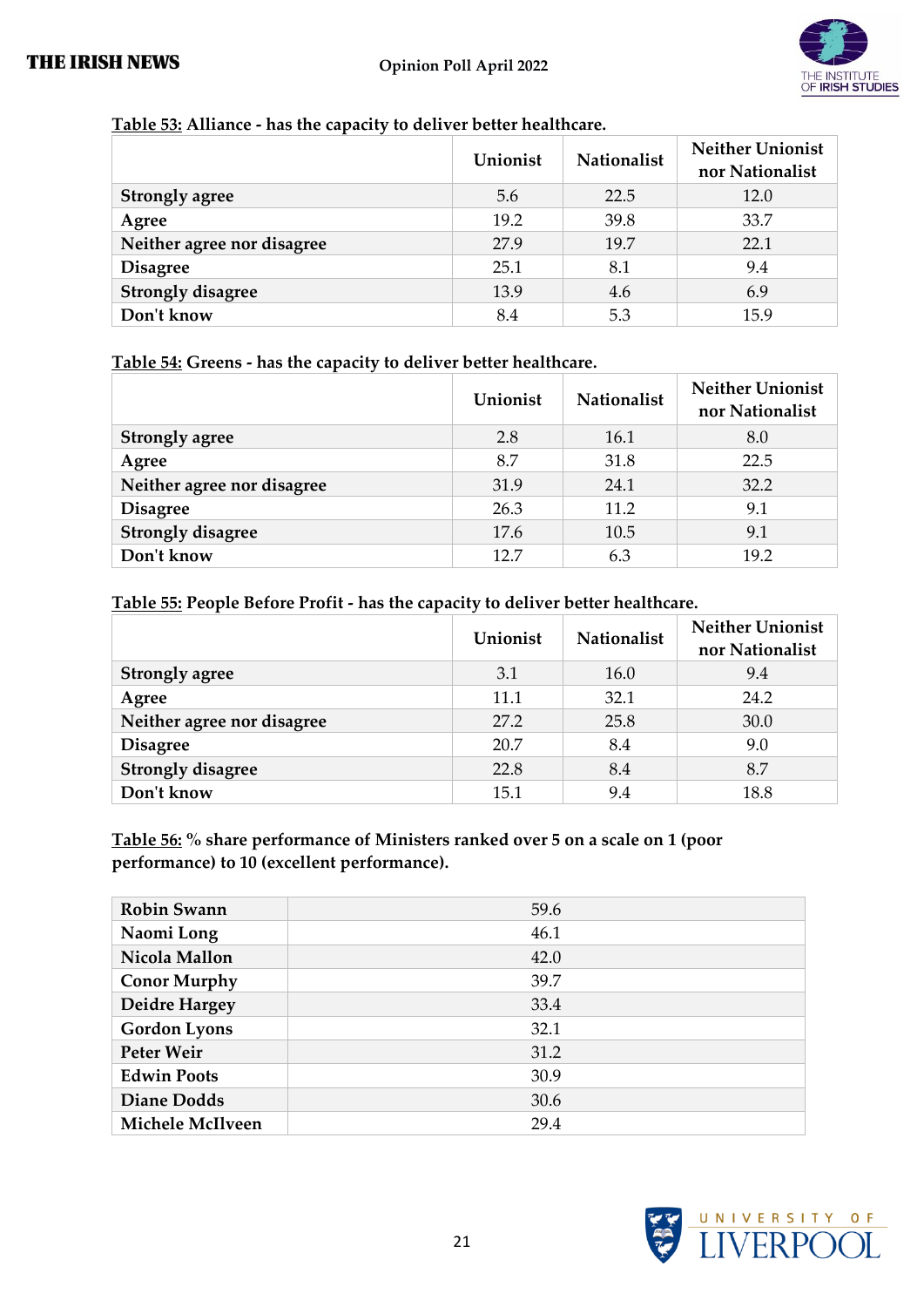

#### **Table 53: Alliance - has the capacity to deliver better healthcare.**

|                            | Unionist | <b>Nationalist</b> | <b>Neither Unionist</b><br>nor Nationalist |
|----------------------------|----------|--------------------|--------------------------------------------|
| <b>Strongly agree</b>      | 5.6      | 22.5               | 12.0                                       |
| Agree                      | 19.2     | 39.8               | 33.7                                       |
| Neither agree nor disagree | 27.9     | 19.7               | 22.1                                       |
| <b>Disagree</b>            | 25.1     | 8.1                | 9.4                                        |
| <b>Strongly disagree</b>   | 13.9     | 4.6                | 6.9                                        |
| Don't know                 | 8.4      | 5.3                | 15.9                                       |

#### **Table 54: Greens - has the capacity to deliver better healthcare.**

|                            | Unionist | <b>Nationalist</b> | <b>Neither Unionist</b><br>nor Nationalist |
|----------------------------|----------|--------------------|--------------------------------------------|
| <b>Strongly agree</b>      | 2.8      | 16.1               | 8.0                                        |
| Agree                      | 8.7      | 31.8               | 22.5                                       |
| Neither agree nor disagree | 31.9     | 24.1               | 32.2                                       |
| <b>Disagree</b>            | 26.3     | 11.2               | 9.1                                        |
| <b>Strongly disagree</b>   | 17.6     | 10.5               | 9.1                                        |
| Don't know                 | 127      | 6.3                | 19.2                                       |

#### **Table 55: People Before Profit - has the capacity to deliver better healthcare.**

|                            | Unionist | Nationalist | <b>Neither Unionist</b><br>nor Nationalist |
|----------------------------|----------|-------------|--------------------------------------------|
| <b>Strongly agree</b>      | 3.1      | 16.0        | 9.4                                        |
| Agree                      | 11.1     | 32.1        | 24.2                                       |
| Neither agree nor disagree | 27.2     | 25.8        | 30.0                                       |
| <b>Disagree</b>            | 20.7     | 8.4         | 9.0                                        |
| <b>Strongly disagree</b>   | 22.8     | 8.4         | 8.7                                        |
| Don't know                 | 15.1     | 9.4         | 18.8                                       |

#### **Table 56: % share performance of Ministers ranked over 5 on a scale on 1 (poor performance) to 10 (excellent performance).**

| <b>Robin Swann</b>      | 59.6 |
|-------------------------|------|
| Naomi Long              | 46.1 |
| Nicola Mallon           | 42.0 |
| <b>Conor Murphy</b>     | 39.7 |
| Deidre Hargey           | 33.4 |
| <b>Gordon Lyons</b>     | 32.1 |
| Peter Weir              | 31.2 |
| <b>Edwin Poots</b>      | 30.9 |
| <b>Diane Dodds</b>      | 30.6 |
| <b>Michele McIlveen</b> | 29.4 |

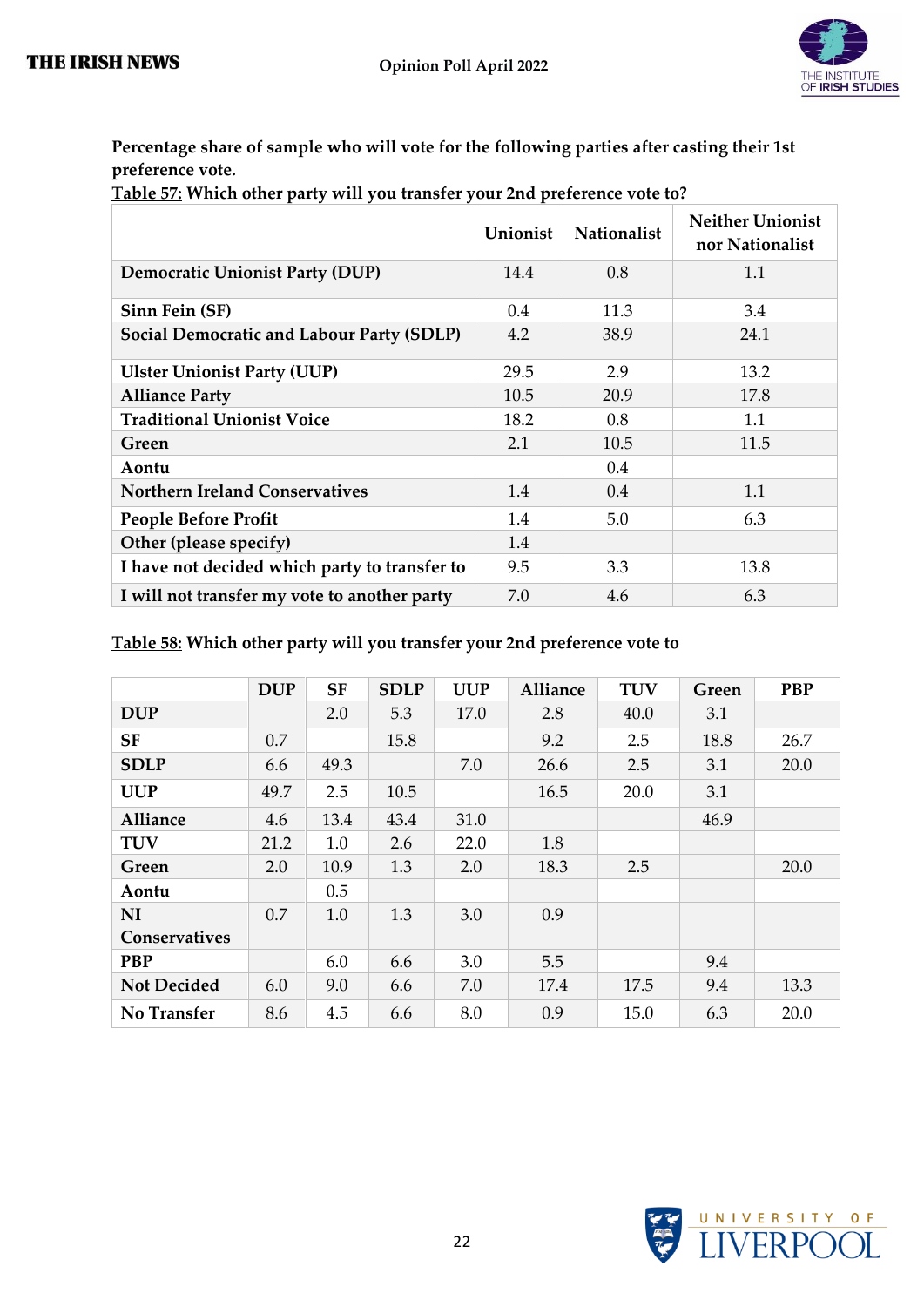

**Percentage share of sample who will vote for the following parties after casting their 1st preference vote.**

**Table 57: Which other party will you transfer your 2nd preference vote to?**

|                                               | Unionist | <b>Nationalist</b> | <b>Neither Unionist</b><br>nor Nationalist |
|-----------------------------------------------|----------|--------------------|--------------------------------------------|
| <b>Democratic Unionist Party (DUP)</b>        | 14.4     | 0.8                | 1.1                                        |
| Sinn Fein (SF)                                | 0.4      | 11.3               | 3.4                                        |
| Social Democratic and Labour Party (SDLP)     | 4.2      | 38.9               | 24.1                                       |
| <b>Ulster Unionist Party (UUP)</b>            | 29.5     | 2.9                | 13.2                                       |
| <b>Alliance Party</b>                         | 10.5     | 20.9               | 17.8                                       |
| <b>Traditional Unionist Voice</b>             | 18.2     | 0.8                | 1.1                                        |
| Green                                         | 2.1      | 10.5               | 11.5                                       |
| Aontu                                         |          | 0.4                |                                            |
| <b>Northern Ireland Conservatives</b>         | 1.4      | 0.4                | 1.1                                        |
| <b>People Before Profit</b>                   | 1.4      | 5.0                | 6.3                                        |
| Other (please specify)                        | 1.4      |                    |                                            |
| I have not decided which party to transfer to | 9.5      | 3.3                | 13.8                                       |
| I will not transfer my vote to another party  | 7.0      | 4.6                | 6.3                                        |

#### **Table 58: Which other party will you transfer your 2nd preference vote to**

|                    | <b>DUP</b> | <b>SF</b> | <b>SDLP</b> | <b>UUP</b> | <b>Alliance</b> | <b>TUV</b> | Green | <b>PBP</b> |
|--------------------|------------|-----------|-------------|------------|-----------------|------------|-------|------------|
| <b>DUP</b>         |            | 2.0       | 5.3         | 17.0       | 2.8             | 40.0       | 3.1   |            |
| <b>SF</b>          | 0.7        |           | 15.8        |            | 9.2             | 2.5        | 18.8  | 26.7       |
| <b>SDLP</b>        | 6.6        | 49.3      |             | 7.0        | 26.6            | 2.5        | 3.1   | 20.0       |
| <b>UUP</b>         | 49.7       | 2.5       | 10.5        |            | 16.5            | 20.0       | 3.1   |            |
| Alliance           | 4.6        | 13.4      | 43.4        | 31.0       |                 |            | 46.9  |            |
| <b>TUV</b>         | 21.2       | 1.0       | 2.6         | 22.0       | 1.8             |            |       |            |
| Green              | 2.0        | 10.9      | 1.3         | 2.0        | 18.3            | 2.5        |       | 20.0       |
| Aontu              |            | 0.5       |             |            |                 |            |       |            |
| <b>NI</b>          | 0.7        | 1.0       | 1.3         | 3.0        | 0.9             |            |       |            |
| Conservatives      |            |           |             |            |                 |            |       |            |
| <b>PBP</b>         |            | 6.0       | 6.6         | 3.0        | 5.5             |            | 9.4   |            |
| <b>Not Decided</b> | 6.0        | 9.0       | 6.6         | 7.0        | 17.4            | 17.5       | 9.4   | 13.3       |
| No Transfer        | 8.6        | 4.5       | 6.6         | 8.0        | 0.9             | 15.0       | 6.3   | 20.0       |